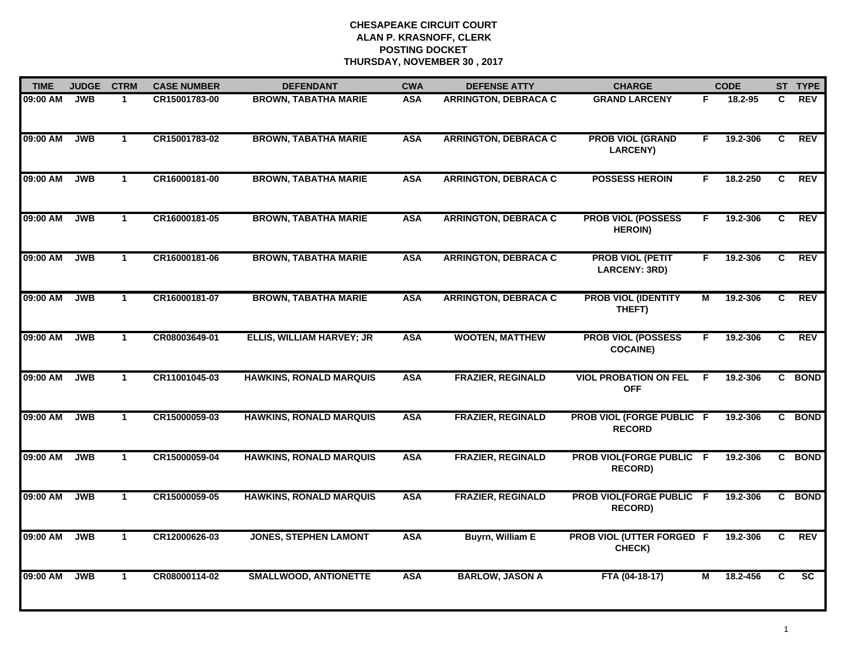| <b>TIME</b> | <b>JUDGE</b> | <b>CTRM</b>  | <b>CASE NUMBER</b> | <b>DEFENDANT</b>                 | <b>CWA</b> | <b>DEFENSE ATTY</b>         | <b>CHARGE</b>                                     |                         | <b>CODE</b> |                | ST TYPE         |
|-------------|--------------|--------------|--------------------|----------------------------------|------------|-----------------------------|---------------------------------------------------|-------------------------|-------------|----------------|-----------------|
| 09:00 AM    | <b>JWB</b>   | $\mathbf{1}$ | CR15001783-00      | <b>BROWN, TABATHA MARIE</b>      | <b>ASA</b> | <b>ARRINGTON, DEBRACA C</b> | <b>GRAND LARCENY</b>                              | F                       | 18.2-95     | C.             | <b>REV</b>      |
| 09:00 AM    | <b>JWB</b>   | $\mathbf{1}$ | CR15001783-02      | <b>BROWN, TABATHA MARIE</b>      | <b>ASA</b> | <b>ARRINGTON, DEBRACA C</b> | <b>PROB VIOL (GRAND</b><br><b>LARCENY)</b>        | F.                      | 19.2-306    | C              | <b>REV</b>      |
| 09:00 AM    | <b>JWB</b>   | $\mathbf{1}$ | CR16000181-00      | <b>BROWN, TABATHA MARIE</b>      | <b>ASA</b> | <b>ARRINGTON, DEBRACA C</b> | <b>POSSESS HEROIN</b>                             | F.                      | 18.2-250    | $\overline{c}$ | <b>REV</b>      |
| 09:00 AM    | <b>JWB</b>   | $\mathbf 1$  | CR16000181-05      | <b>BROWN, TABATHA MARIE</b>      | <b>ASA</b> | <b>ARRINGTON, DEBRACA C</b> | <b>PROB VIOL (POSSESS</b><br><b>HEROIN)</b>       | F.                      | 19.2-306    | C.             | <b>REV</b>      |
| 09:00 AM    | <b>JWB</b>   | $\mathbf{1}$ | CR16000181-06      | <b>BROWN, TABATHA MARIE</b>      | <b>ASA</b> | <b>ARRINGTON, DEBRACA C</b> | <b>PROB VIOL (PETIT</b><br>LARCENY: 3RD)          | F.                      | 19.2-306    | C              | <b>REV</b>      |
| 09:00 AM    | <b>JWB</b>   | $\mathbf{1}$ | CR16000181-07      | <b>BROWN, TABATHA MARIE</b>      | <b>ASA</b> | <b>ARRINGTON, DEBRACA C</b> | <b>PROB VIOL (IDENTITY</b><br>THEFT)              | М                       | 19.2-306    | $\overline{c}$ | <b>REV</b>      |
| 09:00 AM    | <b>JWB</b>   | $\mathbf{1}$ | CR08003649-01      | <b>ELLIS, WILLIAM HARVEY; JR</b> | <b>ASA</b> | <b>WOOTEN, MATTHEW</b>      | <b>PROB VIOL (POSSESS</b><br><b>COCAINE)</b>      | F.                      | 19.2-306    | C              | <b>REV</b>      |
| 09:00 AM    | <b>JWB</b>   | $\mathbf{1}$ | CR11001045-03      | <b>HAWKINS, RONALD MARQUIS</b>   | <b>ASA</b> | <b>FRAZIER, REGINALD</b>    | <b>VIOL PROBATION ON FEL</b><br><b>OFF</b>        | E                       | 19.2-306    |                | C BOND          |
| 09:00 AM    | <b>JWB</b>   | $\mathbf{1}$ | CR15000059-03      | <b>HAWKINS, RONALD MARQUIS</b>   | <b>ASA</b> | <b>FRAZIER, REGINALD</b>    | <b>PROB VIOL (FORGE PUBLIC F</b><br><b>RECORD</b> |                         | 19.2-306    |                | C BOND          |
| 09:00 AM    | <b>JWB</b>   | $\mathbf{1}$ | CR15000059-04      | <b>HAWKINS, RONALD MARQUIS</b>   | <b>ASA</b> | <b>FRAZIER, REGINALD</b>    | PROB VIOL(FORGE PUBLIC F<br><b>RECORD)</b>        |                         | 19.2-306    |                | C BOND          |
| 09:00 AM    | <b>JWB</b>   | $\mathbf{1}$ | CR15000059-05      | <b>HAWKINS, RONALD MARQUIS</b>   | <b>ASA</b> | <b>FRAZIER, REGINALD</b>    | PROB VIOL(FORGE PUBLIC F<br><b>RECORD)</b>        |                         | 19.2-306    |                | C BOND          |
| 09:00 AM    | <b>JWB</b>   | $\mathbf{1}$ | CR12000626-03      | <b>JONES, STEPHEN LAMONT</b>     | <b>ASA</b> | <b>Buyrn, William E</b>     | PROB VIOL (UTTER FORGED F<br>CHECK)               |                         | 19.2-306    | C              | <b>REV</b>      |
| 09:00 AM    | <b>JWB</b>   | $\mathbf{1}$ | CR08000114-02      | <b>SMALLWOOD, ANTIONETTE</b>     | <b>ASA</b> | <b>BARLOW, JASON A</b>      | FTA (04-18-17)                                    | $\overline{\mathsf{M}}$ | 18.2-456    | $\overline{c}$ | $\overline{sc}$ |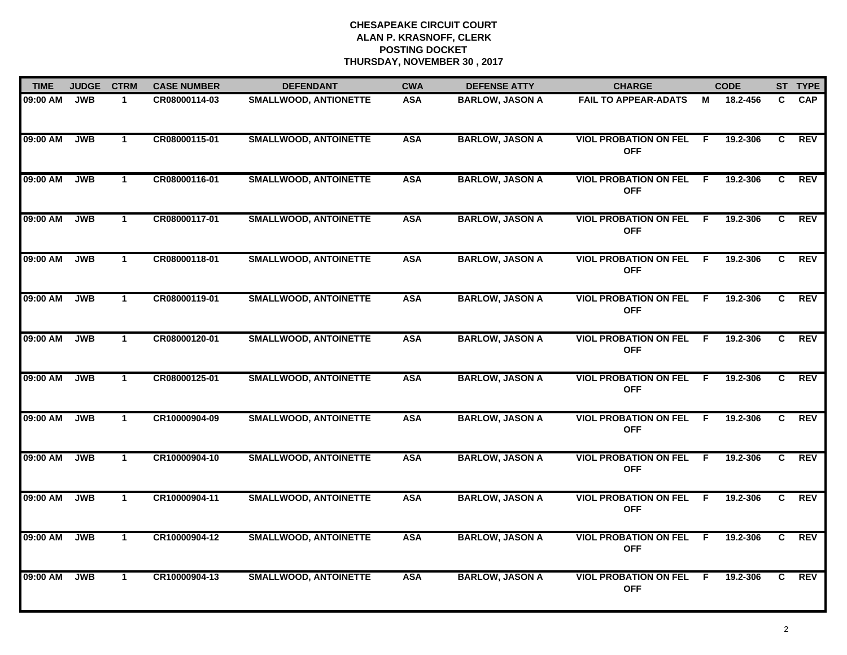| <b>TIME</b> | <b>JUDGE</b> | <b>CTRM</b>          | <b>CASE NUMBER</b> | <b>DEFENDANT</b>             | <b>CWA</b> | <b>DEFENSE ATTY</b>    | <b>CHARGE</b>                                |     | <b>CODE</b> |              | ST TYPE    |
|-------------|--------------|----------------------|--------------------|------------------------------|------------|------------------------|----------------------------------------------|-----|-------------|--------------|------------|
| 09:00 AM    | <b>JWB</b>   | $\mathbf 1$          | CR08000114-03      | <b>SMALLWOOD, ANTIONETTE</b> | <b>ASA</b> | <b>BARLOW, JASON A</b> | <b>FAIL TO APPEAR-ADATS</b>                  | м   | 18.2-456    | C.           | <b>CAP</b> |
| 09:00 AM    | <b>JWB</b>   | $\mathbf{1}$         | CR08000115-01      | <b>SMALLWOOD, ANTOINETTE</b> | <b>ASA</b> | <b>BARLOW, JASON A</b> | <b>VIOL PROBATION ON FEL</b><br><b>OFF</b>   | F.  | 19.2-306    | C            | <b>REV</b> |
| 09:00 AM    | <b>JWB</b>   | $\mathbf{1}$         | CR08000116-01      | <b>SMALLWOOD, ANTOINETTE</b> | <b>ASA</b> | <b>BARLOW, JASON A</b> | <b>VIOL PROBATION ON FEL</b><br><b>OFF</b>   | F.  | 19.2-306    | C            | <b>REV</b> |
| 09:00 AM    | <b>JWB</b>   | $\blacktriangleleft$ | CR08000117-01      | <b>SMALLWOOD, ANTOINETTE</b> | <b>ASA</b> | <b>BARLOW, JASON A</b> | <b>VIOL PROBATION ON FEL</b><br><b>OFF</b>   | -F. | 19.2-306    | C.           | <b>REV</b> |
| 09:00 AM    | <b>JWB</b>   | $\mathbf{1}$         | CR08000118-01      | <b>SMALLWOOD, ANTOINETTE</b> | <b>ASA</b> | <b>BARLOW, JASON A</b> | <b>VIOL PROBATION ON FEL</b><br><b>OFF</b>   | F.  | 19.2-306    | $\mathbf{C}$ | <b>REV</b> |
| 09:00 AM    | <b>JWB</b>   | $\mathbf{1}$         | CR08000119-01      | <b>SMALLWOOD, ANTOINETTE</b> | <b>ASA</b> | <b>BARLOW, JASON A</b> | <b>VIOL PROBATION ON FEL F</b><br><b>OFF</b> |     | 19.2-306    | C.           | REV        |
| 09:00 AM    | JWB          | $\mathbf{1}$         | CR08000120-01      | <b>SMALLWOOD, ANTOINETTE</b> | <b>ASA</b> | <b>BARLOW, JASON A</b> | <b>VIOL PROBATION ON FEL F</b><br><b>OFF</b> |     | 19.2-306    | C            | <b>REV</b> |
| 09:00 AM    | <b>JWB</b>   | $\mathbf{1}$         | CR08000125-01      | <b>SMALLWOOD, ANTOINETTE</b> | <b>ASA</b> | <b>BARLOW, JASON A</b> | <b>VIOL PROBATION ON FEL</b><br><b>OFF</b>   | - F | 19.2-306    | C.           | <b>REV</b> |
| 09:00 AM    | <b>JWB</b>   | $\mathbf{1}$         | CR10000904-09      | <b>SMALLWOOD, ANTOINETTE</b> | <b>ASA</b> | <b>BARLOW, JASON A</b> | <b>VIOL PROBATION ON FEL</b><br><b>OFF</b>   | -F  | 19.2-306    | C.           | <b>REV</b> |
| 09:00 AM    | <b>JWB</b>   | $\mathbf 1$          | CR10000904-10      | <b>SMALLWOOD, ANTOINETTE</b> | <b>ASA</b> | <b>BARLOW, JASON A</b> | <b>VIOL PROBATION ON FEL</b><br><b>OFF</b>   | E   | 19.2-306    | C            | <b>REV</b> |
| 09:00 AM    | <b>JWB</b>   | $\mathbf{1}$         | CR10000904-11      | <b>SMALLWOOD, ANTOINETTE</b> | <b>ASA</b> | <b>BARLOW, JASON A</b> | <b>VIOL PROBATION ON FEL</b><br><b>OFF</b>   | -F. | 19.2-306    | C.           | <b>REV</b> |
| 09:00 AM    | <b>JWB</b>   | $\mathbf{1}$         | CR10000904-12      | <b>SMALLWOOD, ANTOINETTE</b> | <b>ASA</b> | <b>BARLOW, JASON A</b> | <b>VIOL PROBATION ON FEL</b><br><b>OFF</b>   | F.  | 19.2-306    | C            | <b>REV</b> |
| 09:00 AM    | <b>JWB</b>   | $\mathbf{1}$         | CR10000904-13      | <b>SMALLWOOD, ANTOINETTE</b> | <b>ASA</b> | <b>BARLOW, JASON A</b> | <b>VIOL PROBATION ON FEL</b><br><b>OFF</b>   | -F  | 19.2-306    | C.           | <b>REV</b> |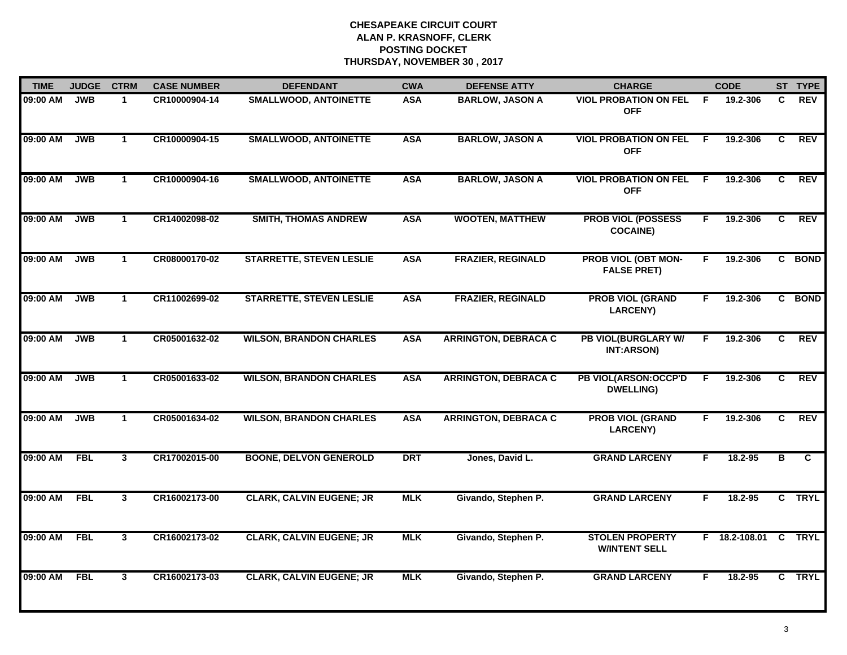| <b>TIME</b> | <b>JUDGE</b> | <b>CTRM</b>    | <b>CASE NUMBER</b> | <b>DEFENDANT</b>                | <b>CWA</b> | <b>DEFENSE ATTY</b>         | <b>CHARGE</b>                                    |     | <b>CODE</b>          |    | ST TYPE                 |
|-------------|--------------|----------------|--------------------|---------------------------------|------------|-----------------------------|--------------------------------------------------|-----|----------------------|----|-------------------------|
| 09:00 AM    | <b>JWB</b>   | $\mathbf 1$    | CR10000904-14      | <b>SMALLWOOD, ANTOINETTE</b>    | <b>ASA</b> | <b>BARLOW, JASON A</b>      | <b>VIOL PROBATION ON FEL</b><br><b>OFF</b>       | -F  | 19.2-306             | C. | <b>REV</b>              |
| 09:00 AM    | JWB          | $\mathbf{1}$   | CR10000904-15      | <b>SMALLWOOD, ANTOINETTE</b>    | <b>ASA</b> | <b>BARLOW, JASON A</b>      | <b>VIOL PROBATION ON FEL</b><br><b>OFF</b>       | - F | 19.2-306             | C  | <b>REV</b>              |
| 09:00 AM    | <b>JWB</b>   | $\mathbf{1}$   | CR10000904-16      | <b>SMALLWOOD, ANTOINETTE</b>    | <b>ASA</b> | <b>BARLOW, JASON A</b>      | <b>VIOL PROBATION ON FEL</b><br><b>OFF</b>       | -F  | 19.2-306             | C  | <b>REV</b>              |
| 09:00 AM    | <b>JWB</b>   | $\mathbf 1$    | CR14002098-02      | <b>SMITH, THOMAS ANDREW</b>     | <b>ASA</b> | <b>WOOTEN, MATTHEW</b>      | <b>PROB VIOL (POSSESS</b><br><b>COCAINE)</b>     | F.  | 19.2-306             | C  | <b>REV</b>              |
| 09:00 AM    | <b>JWB</b>   | $\mathbf{1}$   | CR08000170-02      | <b>STARRETTE, STEVEN LESLIE</b> | <b>ASA</b> | <b>FRAZIER, REGINALD</b>    | <b>PROB VIOL (OBT MON-</b><br><b>FALSE PRET)</b> | F.  | 19.2-306             |    | C BOND                  |
| 09:00 AM    | <b>JWB</b>   | $\mathbf 1$    | CR11002699-02      | <b>STARRETTE, STEVEN LESLIE</b> | <b>ASA</b> | <b>FRAZIER, REGINALD</b>    | <b>PROB VIOL (GRAND</b><br><b>LARCENY)</b>       | F.  | 19.2-306             |    | C BOND                  |
| 09:00 AM    | JWB          | $\overline{1}$ | CR05001632-02      | <b>WILSON, BRANDON CHARLES</b>  | <b>ASA</b> | <b>ARRINGTON, DEBRACA C</b> | <b>PB VIOL(BURGLARY W/</b><br>INT:ARSON)         | F.  | 19.2-306             | C  | REV                     |
| 09:00 AM    | JWB          | $\mathbf{1}$   | CR05001633-02      | <b>WILSON, BRANDON CHARLES</b>  | <b>ASA</b> | <b>ARRINGTON, DEBRACA C</b> | PB VIOL(ARSON:OCCP'D<br><b>DWELLING)</b>         | F   | 19.2-306             | C  | <b>REV</b>              |
| 09:00 AM    | <b>JWB</b>   | $\mathbf{1}$   | CR05001634-02      | <b>WILSON, BRANDON CHARLES</b>  | <b>ASA</b> | <b>ARRINGTON, DEBRACA C</b> | <b>PROB VIOL (GRAND</b><br><b>LARCENY)</b>       | F.  | 19.2-306             | C  | <b>REV</b>              |
| 09:00 AM    | <b>FBL</b>   | $\mathbf{3}$   | CR17002015-00      | <b>BOONE, DELVON GENEROLD</b>   | <b>DRT</b> | Jones, David L.             | <b>GRAND LARCENY</b>                             | F.  | 18.2-95              | В  | $\overline{\mathsf{c}}$ |
| 09:00 AM    | <b>FBL</b>   | $\mathbf{3}$   | CR16002173-00      | <b>CLARK, CALVIN EUGENE; JR</b> | <b>MLK</b> | Givando, Stephen P.         | <b>GRAND LARCENY</b>                             | F.  | 18.2-95              |    | C TRYL                  |
| 09:00 AM    | <b>FBL</b>   | $\overline{3}$ | CR16002173-02      | <b>CLARK, CALVIN EUGENE; JR</b> | <b>MLK</b> | Givando, Stephen P.         | <b>STOLEN PROPERTY</b><br><b>W/INTENT SELL</b>   |     | F 18.2-108.01 C TRYL |    |                         |
| 09:00 AM    | <b>FBL</b>   | $\mathbf{3}$   | CR16002173-03      | <b>CLARK, CALVIN EUGENE; JR</b> | <b>MLK</b> | Givando, Stephen P.         | <b>GRAND LARCENY</b>                             | F.  | 18.2-95              |    | C TRYL                  |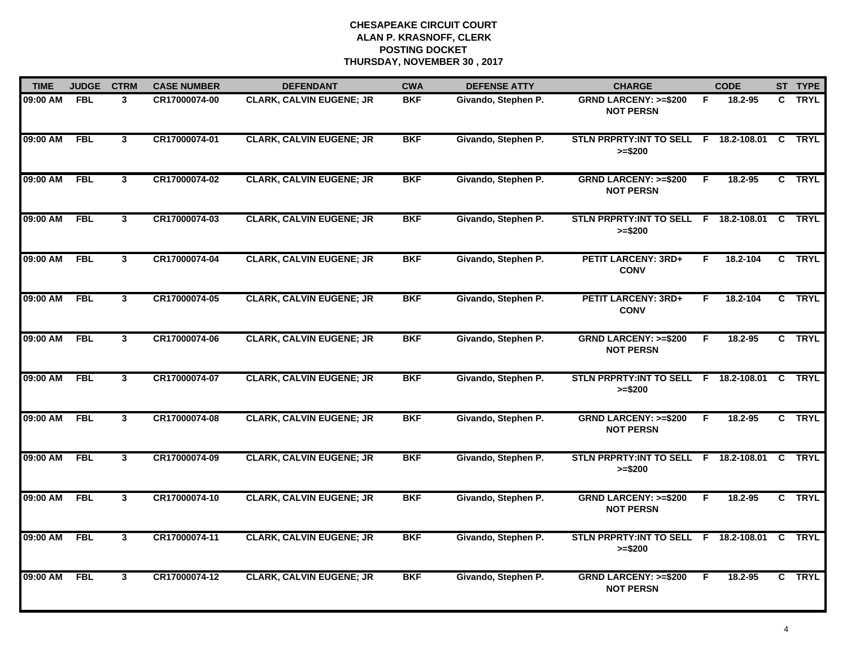| <b>TIME</b> | <b>JUDGE</b> | <b>CTRM</b>             | <b>CASE NUMBER</b> | <b>DEFENDANT</b>                | <b>CWA</b> | <b>DEFENSE ATTY</b> | <b>CHARGE</b>                                              |    | <b>CODE</b> |          | ST TYPE     |
|-------------|--------------|-------------------------|--------------------|---------------------------------|------------|---------------------|------------------------------------------------------------|----|-------------|----------|-------------|
| 09:00 AM    | <b>FBL</b>   | 3                       | CR17000074-00      | <b>CLARK, CALVIN EUGENE; JR</b> | <b>BKF</b> | Givando, Stephen P. | <b>GRND LARCENY: &gt;=\$200</b><br><b>NOT PERSN</b>        | F  | 18.2-95     |          | C TRYL      |
| 09:00 AM    | FBL          | $\mathbf{3}$            | CR17000074-01      | <b>CLARK, CALVIN EUGENE; JR</b> | <b>BKF</b> | Givando, Stephen P. | STLN PRPRTY: INT TO SELL F 18.2-108.01 C TRYL<br>$>= $200$ |    |             |          |             |
| 09:00 AM    | <b>FBL</b>   | $\overline{\mathbf{3}}$ | CR17000074-02      | <b>CLARK, CALVIN EUGENE; JR</b> | <b>BKF</b> | Givando, Stephen P. | <b>GRND LARCENY: &gt;=\$200</b><br><b>NOT PERSN</b>        | E  | $18.2 - 95$ |          | C TRYL      |
| 09:00 AM    | <b>FBL</b>   | $\mathbf{3}$            | CR17000074-03      | <b>CLARK, CALVIN EUGENE; JR</b> | <b>BKF</b> | Givando, Stephen P. | STLN PRPRTY: INT TO SELL F 18.2-108.01<br>$>= $200$        |    |             | C.       | <b>TRYL</b> |
| 09:00 AM    | <b>FBL</b>   | 3                       | CR17000074-04      | <b>CLARK, CALVIN EUGENE; JR</b> | <b>BKF</b> | Givando, Stephen P. | <b>PETIT LARCENY: 3RD+</b><br><b>CONV</b>                  | F. | 18.2-104    |          | C TRYL      |
| 09:00 AM    | <b>FBL</b>   | 3                       | CR17000074-05      | <b>CLARK, CALVIN EUGENE; JR</b> | <b>BKF</b> | Givando, Stephen P. | <b>PETIT LARCENY: 3RD+</b><br><b>CONV</b>                  | F. | 18.2-104    |          | C TRYL      |
| 09:00 AM    | FBL          | $\mathbf{3}$            | CR17000074-06      | <b>CLARK, CALVIN EUGENE; JR</b> | <b>BKF</b> | Givando, Stephen P. | <b>GRND LARCENY: &gt;=\$200</b><br><b>NOT PERSN</b>        | F. | 18.2-95     |          | C TRYL      |
| 09:00 AM    | <b>FBL</b>   | $\overline{3}$          | CR17000074-07      | <b>CLARK, CALVIN EUGENE; JR</b> | <b>BKF</b> | Givando, Stephen P. | STLN PRPRTY: INT TO SELL F 18.2-108.01 C TRYL<br>$>= $200$ |    |             |          |             |
| 09:00 AM    | <b>FBL</b>   | $\mathbf{3}$            | CR17000074-08      | <b>CLARK, CALVIN EUGENE; JR</b> | <b>BKF</b> | Givando, Stephen P. | <b>GRND LARCENY: &gt;=\$200</b><br><b>NOT PERSN</b>        | F  | $18.2 - 95$ |          | C TRYL      |
| 09:00 AM    | <b>FBL</b>   | 3                       | CR17000074-09      | <b>CLARK, CALVIN EUGENE; JR</b> | <b>BKF</b> | Givando, Stephen P. | STLN PRPRTY: INT TO SELL F 18.2-108.01<br>$>= $200$        |    |             | C.       | <b>TRYL</b> |
| 09:00 AM    | <b>FBL</b>   | 3                       | CR17000074-10      | <b>CLARK, CALVIN EUGENE; JR</b> | <b>BKF</b> | Givando, Stephen P. | <b>GRND LARCENY: &gt;=\$200</b><br><b>NOT PERSN</b>        | F. | 18.2-95     |          | C TRYL      |
| 09:00 AM    | <b>FBL</b>   | $\mathbf{3}$            | CR17000074-11      | <b>CLARK, CALVIN EUGENE; JR</b> | <b>BKF</b> | Givando, Stephen P. | STLN PRPRTY: INT TO SELL F 18.2-108.01<br>$>= $200$        |    |             | <b>C</b> | <b>TRYL</b> |
| 09:00 AM    | <b>FBL</b>   | 3                       | CR17000074-12      | <b>CLARK, CALVIN EUGENE; JR</b> | <b>BKF</b> | Givando, Stephen P. | <b>GRND LARCENY: &gt;=\$200</b><br><b>NOT PERSN</b>        | F. | $18.2 - 95$ |          | C TRYL      |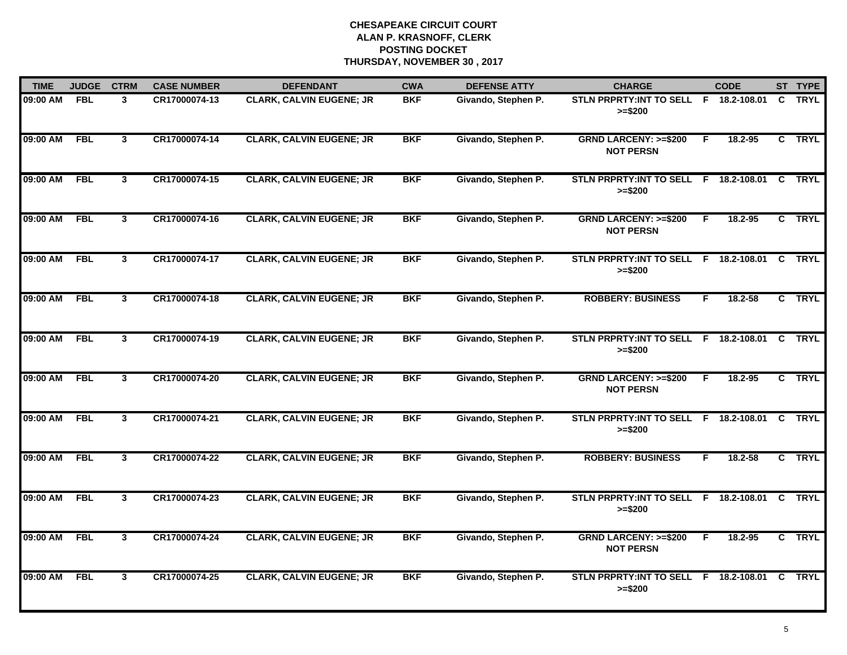| <b>TIME</b> | <b>JUDGE</b> | <b>CTRM</b>    | <b>CASE NUMBER</b> | <b>DEFENDANT</b>                | <b>CWA</b> | <b>DEFENSE ATTY</b> | <b>CHARGE</b>                                             |    | <b>CODE</b> |              | ST TYPE     |
|-------------|--------------|----------------|--------------------|---------------------------------|------------|---------------------|-----------------------------------------------------------|----|-------------|--------------|-------------|
| 09:00 AM    | <b>FBL</b>   | 3              | CR17000074-13      | <b>CLARK, CALVIN EUGENE; JR</b> | <b>BKF</b> | Givando, Stephen P. | STLN PRPRTY: INT TO SELL F 18.2-108.01<br>$>= $200$       |    |             | C.           | <b>TRYL</b> |
| 09:00 AM    | FBL          | $3^{\circ}$    | CR17000074-14      | <b>CLARK, CALVIN EUGENE; JR</b> | <b>BKF</b> | Givando, Stephen P. | <b>GRND LARCENY: &gt;=\$200</b><br><b>NOT PERSN</b>       | F. | 18.2-95     |              | C TRYL      |
| 09:00 AM    | <b>FBL</b>   | $\overline{3}$ | CR17000074-15      | <b>CLARK, CALVIN EUGENE; JR</b> | <b>BKF</b> | Givando, Stephen P. | STLN PRPRTY: INT TO SELL F 18.2-108.01<br>$>= $200$       |    |             | C.           | <b>TRYL</b> |
| 09:00 AM    | <b>FBL</b>   | 3              | CR17000074-16      | <b>CLARK, CALVIN EUGENE; JR</b> | <b>BKF</b> | Givando, Stephen P. | <b>GRND LARCENY: &gt;=\$200</b><br><b>NOT PERSN</b>       | F  | 18.2-95     |              | C TRYL      |
| 09:00 AM    | <b>FBL</b>   | 3              | CR17000074-17      | <b>CLARK, CALVIN EUGENE; JR</b> | <b>BKF</b> | Givando, Stephen P. | STLN PRPRTY:INT TO SELL F 18.2-108.01 C TRYL<br>$>= $200$ |    |             |              |             |
| 09:00 AM    | <b>FBL</b>   | $\mathbf{3}$   | CR17000074-18      | <b>CLARK, CALVIN EUGENE; JR</b> | <b>BKF</b> | Givando, Stephen P. | <b>ROBBERY: BUSINESS</b>                                  | F  | 18.2-58     |              | C TRYL      |
| 09:00 AM    | <b>FBL</b>   | $\mathbf{3}$   | CR17000074-19      | <b>CLARK, CALVIN EUGENE; JR</b> | <b>BKF</b> | Givando, Stephen P. | STLN PRPRTY: INT TO SELL F 18.2-108.01 C<br>$>= $200$     |    |             |              | <b>TRYL</b> |
| 09:00 AM    | <b>FBL</b>   | $\mathbf{3}$   | CR17000074-20      | <b>CLARK, CALVIN EUGENE; JR</b> | <b>BKF</b> | Givando, Stephen P. | <b>GRND LARCENY: &gt;=\$200</b><br><b>NOT PERSN</b>       | E  | 18.2-95     |              | C TRYL      |
| 09:00 AM    | <b>FBL</b>   | $\mathbf{3}$   | CR17000074-21      | <b>CLARK, CALVIN EUGENE; JR</b> | <b>BKF</b> | Givando, Stephen P. | STLN PRPRTY: INT TO SELL F 18.2-108.01<br>$>= $200$       |    |             | $\mathbf{c}$ | <b>TRYL</b> |
| 09:00 AM    | <b>FBL</b>   | 3              | CR17000074-22      | <b>CLARK, CALVIN EUGENE; JR</b> | <b>BKF</b> | Givando, Stephen P. | <b>ROBBERY: BUSINESS</b>                                  | F  | $18.2 - 58$ |              | C TRYL      |
| 09:00 AM    | <b>FBL</b>   | 3              | CR17000074-23      | <b>CLARK, CALVIN EUGENE; JR</b> | <b>BKF</b> | Givando, Stephen P. | STLN PRPRTY: INT TO SELL F 18.2-108.01<br>$>= $200$       |    |             | <b>C</b>     | <b>TRYL</b> |
| 09:00 AM    | <b>FBL</b>   | $\mathbf{3}$   | CR17000074-24      | <b>CLARK, CALVIN EUGENE; JR</b> | <b>BKF</b> | Givando, Stephen P. | <b>GRND LARCENY: &gt;=\$200</b><br><b>NOT PERSN</b>       | F  | 18.2-95     | C.           | <b>TRYL</b> |
| 09:00 AM    | <b>FBL</b>   | 3              | CR17000074-25      | <b>CLARK, CALVIN EUGENE; JR</b> | <b>BKF</b> | Givando, Stephen P. | STLN PRPRTY: INT TO SELL F 18.2-108.01 C<br>$>= $200$     |    |             |              | <b>TRYL</b> |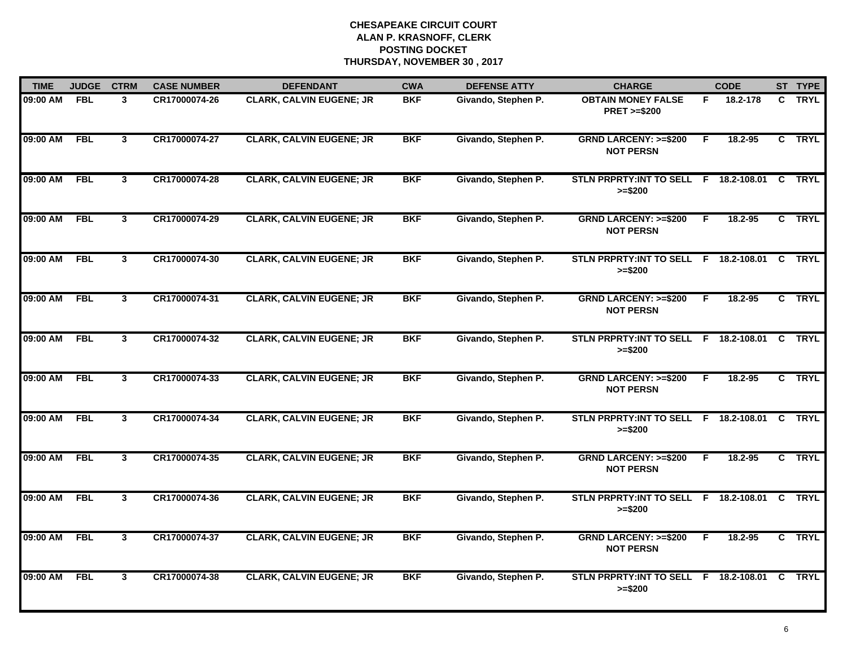| <b>TIME</b> | <b>JUDGE</b> | <b>CTRM</b>    | <b>CASE NUMBER</b> | <b>DEFENDANT</b>                | <b>CWA</b> | <b>DEFENSE ATTY</b> | <b>CHARGE</b>                                         |    | <b>CODE</b> |    | ST TYPE     |
|-------------|--------------|----------------|--------------------|---------------------------------|------------|---------------------|-------------------------------------------------------|----|-------------|----|-------------|
| 09:00 AM    | <b>FBL</b>   | 3              | CR17000074-26      | <b>CLARK, CALVIN EUGENE; JR</b> | <b>BKF</b> | Givando, Stephen P. | <b>OBTAIN MONEY FALSE</b><br><b>PRET &gt;=\$200</b>   | F. | 18.2-178    |    | C TRYL      |
| 09:00 AM    | FBL          | $\mathbf{3}$   | CR17000074-27      | <b>CLARK, CALVIN EUGENE; JR</b> | <b>BKF</b> | Givando, Stephen P. | <b>GRND LARCENY: &gt;=\$200</b><br><b>NOT PERSN</b>   | E  | 18.2-95     |    | C TRYL      |
| 09:00 AM    | <b>FBL</b>   | $\overline{3}$ | CR17000074-28      | <b>CLARK, CALVIN EUGENE; JR</b> | <b>BKF</b> | Givando, Stephen P. | STLN PRPRTY: INT TO SELL F 18.2-108.01<br>$>= $200$   |    |             | C  | <b>TRYL</b> |
| 09:00 AM    | <b>FBL</b>   | $\mathbf{3}$   | CR17000074-29      | <b>CLARK, CALVIN EUGENE; JR</b> | <b>BKF</b> | Givando, Stephen P. | <b>GRND LARCENY: &gt;=\$200</b><br><b>NOT PERSN</b>   | F  | 18.2-95     |    | C TRYL      |
| 09:00 AM    | <b>FBL</b>   | 3              | CR17000074-30      | <b>CLARK, CALVIN EUGENE; JR</b> | <b>BKF</b> | Givando, Stephen P. | STLN PRPRTY: INT TO SELL F 18.2-108.01<br>$>= $200$   |    |             | C. | <b>TRYL</b> |
| 09:00 AM    | <b>FBL</b>   | 3              | CR17000074-31      | <b>CLARK, CALVIN EUGENE; JR</b> | <b>BKF</b> | Givando, Stephen P. | <b>GRND LARCENY: &gt;=\$200</b><br><b>NOT PERSN</b>   | F. | 18.2-95     |    | C TRYL      |
| 09:00 AM    | FBL          | $\mathbf{3}$   | CR17000074-32      | <b>CLARK, CALVIN EUGENE; JR</b> | <b>BKF</b> | Givando, Stephen P. | STLN PRPRTY: INT TO SELL F 18.2-108.01 C<br>$>= $200$ |    |             |    | <b>TRYL</b> |
| 09:00 AM    | <b>FBL</b>   | $\overline{3}$ | CR17000074-33      | <b>CLARK, CALVIN EUGENE; JR</b> | <b>BKF</b> | Givando, Stephen P. | <b>GRND LARCENY: &gt;=\$200</b><br><b>NOT PERSN</b>   | F  | 18.2-95     |    | C TRYL      |
| 09:00 AM    | <b>FBL</b>   | $\mathbf{3}$   | CR17000074-34      | <b>CLARK, CALVIN EUGENE; JR</b> | <b>BKF</b> | Givando, Stephen P. | STLN PRPRTY: INT TO SELL F 18.2-108.01<br>$>= $200$   |    |             |    | C TRYL      |
| 09:00 AM    | <b>FBL</b>   | 3              | CR17000074-35      | <b>CLARK, CALVIN EUGENE; JR</b> | <b>BKF</b> | Givando, Stephen P. | <b>GRND LARCENY: &gt;=\$200</b><br><b>NOT PERSN</b>   | F  | $18.2 - 95$ |    | C TRYL      |
| 09:00 AM    | <b>FBL</b>   | 3              | CR17000074-36      | <b>CLARK, CALVIN EUGENE; JR</b> | <b>BKF</b> | Givando, Stephen P. | STLN PRPRTY: INT TO SELL F 18.2-108.01 C<br>$>= $200$ |    |             |    | <b>TRYL</b> |
| 09:00 AM    | <b>FBL</b>   | $\mathbf{3}$   | CR17000074-37      | <b>CLARK, CALVIN EUGENE; JR</b> | <b>BKF</b> | Givando, Stephen P. | <b>GRND LARCENY: &gt;=\$200</b><br><b>NOT PERSN</b>   | F. | 18.2-95     |    | C TRYL      |
| 09:00 AM    | <b>FBL</b>   | 3              | CR17000074-38      | <b>CLARK, CALVIN EUGENE; JR</b> | <b>BKF</b> | Givando, Stephen P. | STLN PRPRTY: INT TO SELL F 18.2-108.01 C<br>$>= $200$ |    |             |    | <b>TRYL</b> |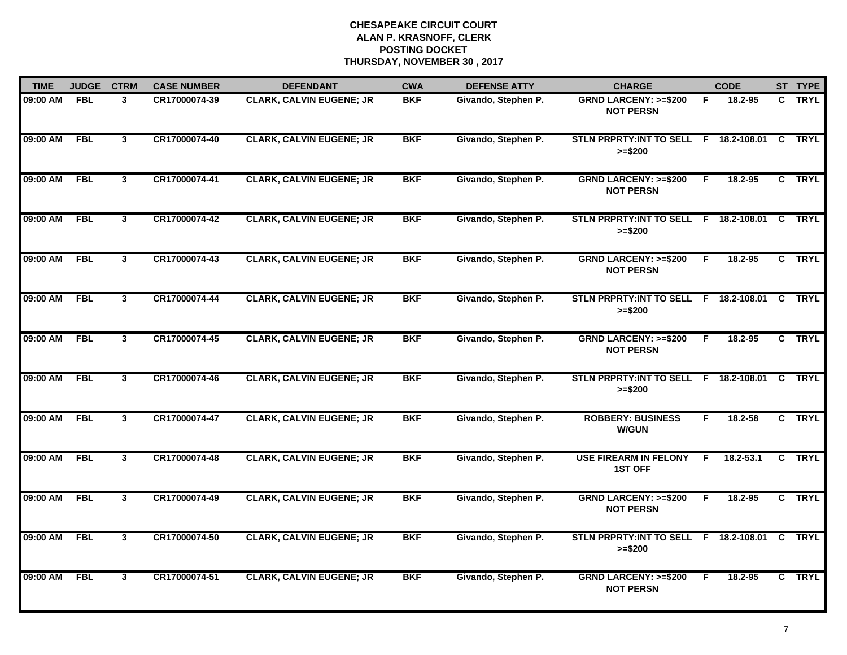| <b>TIME</b> | <b>JUDGE</b> | <b>CTRM</b>             | <b>CASE NUMBER</b> | <b>DEFENDANT</b>                | <b>CWA</b> | <b>DEFENSE ATTY</b> | <b>CHARGE</b>                                              |    | <b>CODE</b>   |          | ST TYPE     |
|-------------|--------------|-------------------------|--------------------|---------------------------------|------------|---------------------|------------------------------------------------------------|----|---------------|----------|-------------|
| 09:00 AM    | <b>FBL</b>   | 3                       | CR17000074-39      | <b>CLARK, CALVIN EUGENE; JR</b> | <b>BKF</b> | Givando, Stephen P. | <b>GRND LARCENY: &gt;=\$200</b><br><b>NOT PERSN</b>        | F  | 18.2-95       |          | C TRYL      |
| 09:00 AM    | FBL          | $\mathbf{3}$            | CR17000074-40      | <b>CLARK, CALVIN EUGENE; JR</b> | <b>BKF</b> | Givando, Stephen P. | STLN PRPRTY: INT TO SELL F 18.2-108.01 C TRYL<br>$>= $200$ |    |               |          |             |
| 09:00 AM    | <b>FBL</b>   | $\overline{\mathbf{3}}$ | CR17000074-41      | <b>CLARK, CALVIN EUGENE; JR</b> | <b>BKF</b> | Givando, Stephen P. | <b>GRND LARCENY: &gt;=\$200</b><br><b>NOT PERSN</b>        | E  | $18.2 - 95$   |          | C TRYL      |
| 09:00 AM    | <b>FBL</b>   | $\mathbf{3}$            | CR17000074-42      | <b>CLARK, CALVIN EUGENE; JR</b> | <b>BKF</b> | Givando, Stephen P. | STLN PRPRTY: INT TO SELL F 18.2-108.01<br>$>= $200$        |    |               | C.       | <b>TRYL</b> |
| 09:00 AM    | <b>FBL</b>   | 3                       | CR17000074-43      | <b>CLARK, CALVIN EUGENE; JR</b> | <b>BKF</b> | Givando, Stephen P. | <b>GRND LARCENY: &gt;=\$200</b><br><b>NOT PERSN</b>        | F  | 18.2-95       |          | C TRYL      |
| 09:00 AM    | <b>FBL</b>   | 3                       | CR17000074-44      | <b>CLARK, CALVIN EUGENE; JR</b> | <b>BKF</b> | Givando, Stephen P. | STLN PRPRTY:INT TO SELL F 18.2-108.01 C TRYL<br>$>= $200$  |    |               |          |             |
| 09:00 AM    | FBL          | $\mathbf{3}$            | CR17000074-45      | <b>CLARK, CALVIN EUGENE; JR</b> | <b>BKF</b> | Givando, Stephen P. | <b>GRND LARCENY: &gt;=\$200</b><br><b>NOT PERSN</b>        | F. | 18.2-95       |          | C TRYL      |
| 09:00 AM    | <b>FBL</b>   | $\overline{3}$          | CR17000074-46      | <b>CLARK, CALVIN EUGENE; JR</b> | <b>BKF</b> | Givando, Stephen P. | STLN PRPRTY: INT TO SELL F 18.2-108.01 C TRYL<br>$>= $200$ |    |               |          |             |
| 09:00 AM    | <b>FBL</b>   | $\mathbf{3}$            | CR17000074-47      | <b>CLARK, CALVIN EUGENE; JR</b> | <b>BKF</b> | Givando, Stephen P. | <b>ROBBERY: BUSINESS</b><br><b>W/GUN</b>                   | F  | $18.2 - 58$   |          | C TRYL      |
| 09:00 AM    | <b>FBL</b>   | 3                       | CR17000074-48      | <b>CLARK, CALVIN EUGENE; JR</b> | <b>BKF</b> | Givando, Stephen P. | <b>USE FIREARM IN FELONY</b><br><b>1ST OFF</b>             | F. | $18.2 - 53.1$ |          | C TRYL      |
| 09:00 AM    | <b>FBL</b>   | 3                       | CR17000074-49      | <b>CLARK, CALVIN EUGENE; JR</b> | <b>BKF</b> | Givando, Stephen P. | <b>GRND LARCENY: &gt;=\$200</b><br><b>NOT PERSN</b>        | F. | 18.2-95       |          | C TRYL      |
| 09:00 AM    | <b>FBL</b>   | $\mathbf{3}$            | CR17000074-50      | <b>CLARK, CALVIN EUGENE; JR</b> | <b>BKF</b> | Givando, Stephen P. | STLN PRPRTY: INT TO SELL F 18.2-108.01<br>$>= $200$        |    |               | <b>C</b> | <b>TRYL</b> |
| 09:00 AM    | <b>FBL</b>   | 3                       | CR17000074-51      | <b>CLARK, CALVIN EUGENE; JR</b> | <b>BKF</b> | Givando, Stephen P. | <b>GRND LARCENY: &gt;=\$200</b><br><b>NOT PERSN</b>        | E  | $18.2 - 95$   |          | C TRYL      |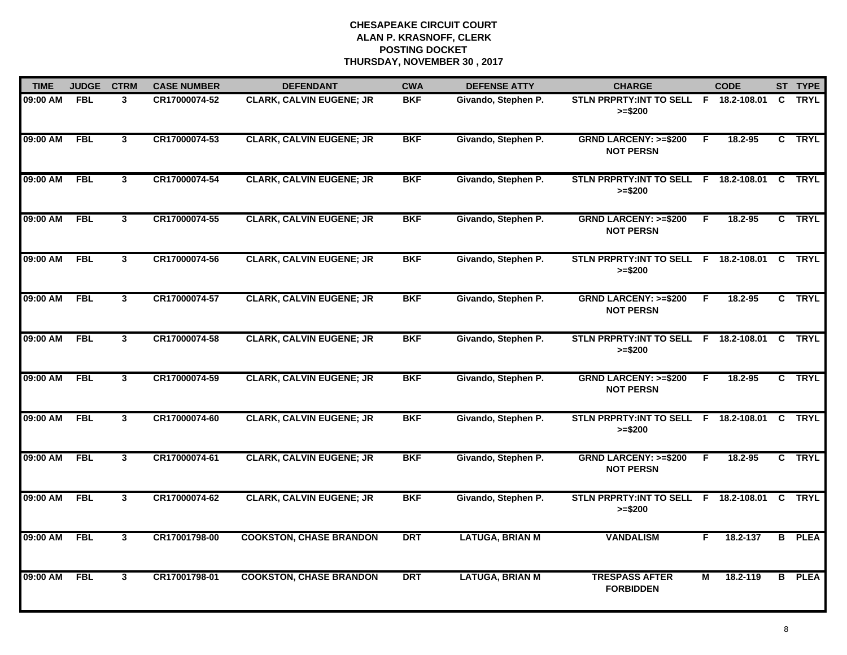| <b>TIME</b> | <b>JUDGE</b> | <b>CTRM</b>             | <b>CASE NUMBER</b> | <b>DEFENDANT</b>                | <b>CWA</b> | <b>DEFENSE ATTY</b>    | <b>CHARGE</b>                                             |                | <b>CODE</b> |              | ST TYPE       |
|-------------|--------------|-------------------------|--------------------|---------------------------------|------------|------------------------|-----------------------------------------------------------|----------------|-------------|--------------|---------------|
| 09:00 AM    | <b>FBL</b>   | 3                       | CR17000074-52      | <b>CLARK, CALVIN EUGENE; JR</b> | <b>BKF</b> | Givando, Stephen P.    | STLN PRPRTY: INT TO SELL F 18.2-108.01<br>$>= $200$       |                |             | $\mathbf{C}$ | <b>TRYL</b>   |
| 09:00 AM    | <b>FBL</b>   | $\overline{3}$          | CR17000074-53      | <b>CLARK, CALVIN EUGENE; JR</b> | <b>BKF</b> | Givando, Stephen P.    | <b>GRND LARCENY: &gt;=\$200</b><br><b>NOT PERSN</b>       | F.             | 18.2-95     |              | C TRYL        |
| 09:00 AM    | <b>FBL</b>   | 3                       | CR17000074-54      | <b>CLARK, CALVIN EUGENE; JR</b> | <b>BKF</b> | Givando, Stephen P.    | STLN PRPRTY: INT TO SELL F 18.2-108.01<br>$>= $200$       |                |             | C            | <b>TRYL</b>   |
| 09:00 AM    | <b>FBL</b>   | 3                       | CR17000074-55      | <b>CLARK, CALVIN EUGENE; JR</b> | <b>BKF</b> | Givando, Stephen P.    | <b>GRND LARCENY: &gt;=\$200</b><br><b>NOT PERSN</b>       | F              | 18.2-95     |              | C TRYL        |
| 09:00 AM    | <b>FBL</b>   | 3                       | CR17000074-56      | <b>CLARK, CALVIN EUGENE; JR</b> | <b>BKF</b> | Givando, Stephen P.    | STLN PRPRTY: INT TO SELL F 18.2-108.01 C<br>$>= $200$     |                |             |              | <b>TRYL</b>   |
| 09:00 AM    | FBL          | $\mathbf{3}$            | CR17000074-57      | <b>CLARK, CALVIN EUGENE; JR</b> | <b>BKF</b> | Givando, Stephen P.    | <b>GRND LARCENY: &gt;=\$200</b><br><b>NOT PERSN</b>       | F              | 18.2-95     |              | C TRYL        |
| 09:00 AM    | <b>FBL</b>   | $\overline{\mathbf{3}}$ | CR17000074-58      | <b>CLARK, CALVIN EUGENE; JR</b> | <b>BKF</b> | Givando, Stephen P.    | STLN PRPRTY: INT TO SELL F 18.2-108.01 C<br>$>= $200$     |                |             |              | <b>TRYL</b>   |
| 09:00 AM    | <b>FBL</b>   | $\overline{\mathbf{3}}$ | CR17000074-59      | <b>CLARK, CALVIN EUGENE; JR</b> | <b>BKF</b> | Givando, Stephen P.    | <b>GRND LARCENY: &gt;=\$200</b><br><b>NOT PERSN</b>       | $\overline{F}$ | 18.2-95     |              | C TRYL        |
| 09:00 AM    | <b>FBL</b>   | 3                       | CR17000074-60      | <b>CLARK, CALVIN EUGENE; JR</b> | <b>BKF</b> | Givando, Stephen P.    | STLN PRPRTY: INT TO SELL F 18.2-108.01<br>$>= $200$       |                |             | <b>C</b>     | <b>TRYL</b>   |
| 09:00 AM    | <b>FBL</b>   | 3                       | CR17000074-61      | <b>CLARK, CALVIN EUGENE; JR</b> | <b>BKF</b> | Givando, Stephen P.    | <b>GRND LARCENY: &gt;=\$200</b><br><b>NOT PERSN</b>       | F              | 18.2-95     |              | C TRYL        |
| 09:00 AM    | <b>FBL</b>   | $\mathbf{3}$            | CR17000074-62      | <b>CLARK, CALVIN EUGENE; JR</b> | <b>BKF</b> | Givando, Stephen P.    | STLN PRPRTY:INT TO SELL F 18.2-108.01 C TRYL<br>$>= $200$ |                |             |              |               |
| 09:00 AM    | <b>FBL</b>   | $\mathbf{3}$            | CR17001798-00      | <b>COOKSTON, CHASE BRANDON</b>  | <b>DRT</b> | <b>LATUGA, BRIAN M</b> | <b>VANDALISM</b>                                          | F.             | 18.2-137    |              | <b>B</b> PLEA |
| 09:00 AM    | <b>FBL</b>   | $\overline{3}$          | CR17001798-01      | <b>COOKSTON, CHASE BRANDON</b>  | <b>DRT</b> | <b>LATUGA, BRIAN M</b> | <b>TRESPASS AFTER</b><br><b>FORBIDDEN</b>                 | $\overline{M}$ | 18.2-119    |              | <b>B</b> PLEA |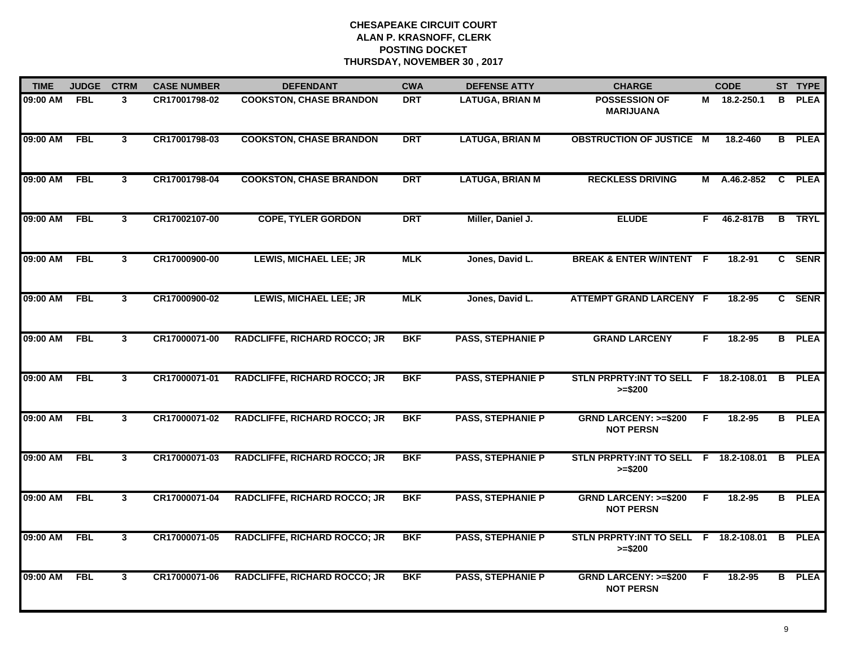| <b>TIME</b> | <b>JUDGE</b> | <b>CTRM</b>  | <b>CASE NUMBER</b> | <b>DEFENDANT</b>                    | <b>CWA</b> | <b>DEFENSE ATTY</b>      | <b>CHARGE</b>                                       |    | <b>CODE</b>  |    | ST TYPE       |
|-------------|--------------|--------------|--------------------|-------------------------------------|------------|--------------------------|-----------------------------------------------------|----|--------------|----|---------------|
| 09:00 AM    | <b>FBL</b>   | 3            | CR17001798-02      | <b>COOKSTON, CHASE BRANDON</b>      | <b>DRT</b> | <b>LATUGA, BRIAN M</b>   | <b>POSSESSION OF</b><br><b>MARIJUANA</b>            |    | M 18.2-250.1 | B  | <b>PLEA</b>   |
| 09:00 AM    | <b>FBL</b>   | $\mathbf{3}$ | CR17001798-03      | <b>COOKSTON, CHASE BRANDON</b>      | <b>DRT</b> | <b>LATUGA, BRIAN M</b>   | <b>OBSTRUCTION OF JUSTICE M</b>                     |    | 18.2-460     |    | <b>B</b> PLEA |
| 09:00 AM    | <b>FBL</b>   | $\mathbf{3}$ | CR17001798-04      | <b>COOKSTON, CHASE BRANDON</b>      | <b>DRT</b> | <b>LATUGA, BRIAN M</b>   | <b>RECKLESS DRIVING</b>                             | M  | A.46.2-852   | C. | <b>PLEA</b>   |
| 09:00 AM    | <b>FBL</b>   | $\mathbf{3}$ | CR17002107-00      | <b>COPE, TYLER GORDON</b>           | <b>DRT</b> | Miller, Daniel J.        | <b>ELUDE</b>                                        | F. | 46.2-817B    |    | <b>B</b> TRYL |
| 09:00 AM    | <b>FBL</b>   | 3            | CR17000900-00      | <b>LEWIS, MICHAEL LEE; JR</b>       | <b>MLK</b> | Jones, David L.          | <b>BREAK &amp; ENTER W/INTENT F</b>                 |    | 18.2-91      |    | C SENR        |
| 09:00 AM    | FBL          | $\mathbf{3}$ | CR17000900-02      | <b>LEWIS, MICHAEL LEE; JR</b>       | <b>MLK</b> | Jones, David L.          | <b>ATTEMPT GRAND LARCENY F</b>                      |    | 18.2-95      |    | C SENR        |
| 09:00 AM    | FBL          | $\mathbf{3}$ | CR17000071-00      | <b>RADCLIFFE, RICHARD ROCCO; JR</b> | <b>BKF</b> | <b>PASS, STEPHANIE P</b> | <b>GRAND LARCENY</b>                                | F  | 18.2-95      |    | <b>B</b> PLEA |
| 09:00 AM    | <b>FBL</b>   | 3            | CR17000071-01      | <b>RADCLIFFE, RICHARD ROCCO; JR</b> | <b>BKF</b> | <b>PASS, STEPHANIE P</b> | STLN PRPRTY: INT TO SELL F 18.2-108.01<br>$>= $200$ |    |              | B  | <b>PLEA</b>   |
| 09:00 AM    | <b>FBL</b>   | $\mathbf{3}$ | CR17000071-02      | <b>RADCLIFFE, RICHARD ROCCO; JR</b> | <b>BKF</b> | <b>PASS, STEPHANIE P</b> | <b>GRND LARCENY: &gt;=\$200</b><br><b>NOT PERSN</b> | F  | 18.2-95      |    | <b>B</b> PLEA |
| 09:00 AM    | <b>FBL</b>   | $\mathbf{3}$ | CR17000071-03      | <b>RADCLIFFE, RICHARD ROCCO; JR</b> | <b>BKF</b> | <b>PASS, STEPHANIE P</b> | STLN PRPRTY:INT TO SELL F 18.2-108.01<br>$>= $200$  |    |              | B  | <b>PLEA</b>   |
| 09:00 AM    | <b>FBL</b>   | 3            | CR17000071-04      | <b>RADCLIFFE, RICHARD ROCCO; JR</b> | <b>BKF</b> | <b>PASS, STEPHANIE P</b> | <b>GRND LARCENY: &gt;=\$200</b><br><b>NOT PERSN</b> | F. | 18.2-95      |    | <b>B</b> PLEA |
| 09:00 AM    | FBL          | $\mathbf{3}$ | CR17000071-05      | <b>RADCLIFFE, RICHARD ROCCO; JR</b> | <b>BKF</b> | <b>PASS, STEPHANIE P</b> | STLN PRPRTY: INT TO SELL F 18.2-108.01<br>$>= $200$ |    |              | B  | <b>PLEA</b>   |
| 09:00 AM    | <b>FBL</b>   | 3            | CR17000071-06      | <b>RADCLIFFE, RICHARD ROCCO; JR</b> | <b>BKF</b> | <b>PASS, STEPHANIE P</b> | <b>GRND LARCENY: &gt;=\$200</b><br><b>NOT PERSN</b> | F. | 18.2-95      |    | <b>B</b> PLEA |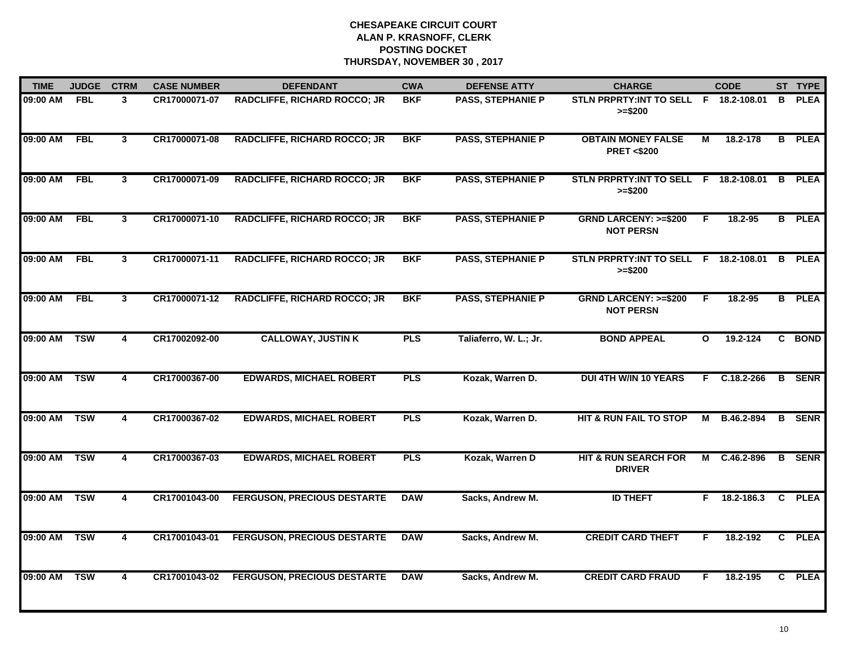| <b>TIME</b>  | <b>JUDGE</b>            | <b>CTRM</b>             | <b>CASE NUMBER</b> | <b>DEFENDANT</b>                    | <b>CWA</b> | <b>DEFENSE ATTY</b>      | <b>CHARGE</b>                                       |              | <b>CODE</b>    |   | ST TYPE       |
|--------------|-------------------------|-------------------------|--------------------|-------------------------------------|------------|--------------------------|-----------------------------------------------------|--------------|----------------|---|---------------|
| 09:00 AM     | <b>FBL</b>              | 3                       | CR17000071-07      | <b>RADCLIFFE, RICHARD ROCCO; JR</b> | <b>BKF</b> | <b>PASS, STEPHANIE P</b> | STLN PRPRTY: INT TO SELL F 18.2-108.01<br>$>= $200$ |              |                | B | <b>PLEA</b>   |
| 09:00 AM     | <b>FBL</b>              | $\mathbf{3}$            | CR17000071-08      | <b>RADCLIFFE, RICHARD ROCCO; JR</b> | <b>BKF</b> | <b>PASS, STEPHANIE P</b> | <b>OBTAIN MONEY FALSE</b><br><b>PRET &lt;\$200</b>  | М            | 18.2-178       |   | <b>B</b> PLEA |
| 09:00 AM     | <b>FBL</b>              | $\mathbf{3}$            | CR17000071-09      | <b>RADCLIFFE, RICHARD ROCCO; JR</b> | <b>BKF</b> | <b>PASS, STEPHANIE P</b> | STLN PRPRTY: INT TO SELL F 18.2-108.01<br>$>= $200$ |              |                |   | <b>B</b> PLEA |
| 09:00 AM     | <b>FBL</b>              | 3                       | CR17000071-10      | <b>RADCLIFFE, RICHARD ROCCO; JR</b> | <b>BKF</b> | <b>PASS, STEPHANIE P</b> | <b>GRND LARCENY: &gt;=\$200</b><br><b>NOT PERSN</b> | F            | 18.2-95        |   | <b>B</b> PLEA |
| 09:00 AM     | <b>FBL</b>              | 3                       | CR17000071-11      | <b>RADCLIFFE, RICHARD ROCCO; JR</b> | <b>BKF</b> | <b>PASS, STEPHANIE P</b> | STLN PRPRTY: INT TO SELL F 18.2-108.01<br>$>= $200$ |              |                | B | <b>PLEA</b>   |
| 09:00 AM     | <b>FBL</b>              | $\mathbf{3}$            | CR17000071-12      | <b>RADCLIFFE, RICHARD ROCCO; JR</b> | <b>BKF</b> | <b>PASS, STEPHANIE P</b> | <b>GRND LARCENY: &gt;=\$200</b><br><b>NOT PERSN</b> | F            | 18.2-95        |   | <b>B</b> PLEA |
| 09:00 AM     | TSW                     | 4                       | CR17002092-00      | <b>CALLOWAY, JUSTIN K</b>           | <b>PLS</b> | Taliaferro, W. L.; Jr.   | <b>BOND APPEAL</b>                                  | $\mathbf{o}$ | 19.2-124       |   | C BOND        |
| 09:00 AM     | <b>TSW</b>              | $\overline{\mathbf{4}}$ | CR17000367-00      | <b>EDWARDS, MICHAEL ROBERT</b>      | <b>PLS</b> | Kozak, Warren D.         | <b>DUI 4TH W/IN 10 YEARS</b>                        | F.           | $C.18.2 - 266$ | B | <b>SENR</b>   |
| 09:00 AM     | <b>TSW</b>              | 4                       | CR17000367-02      | <b>EDWARDS, MICHAEL ROBERT</b>      | <b>PLS</b> | Kozak, Warren D.         | <b>HIT &amp; RUN FAIL TO STOP</b>                   | М            | B.46.2-894     | B | <b>SENR</b>   |
| 09:00 AM     | <b>TSW</b>              | 4                       | CR17000367-03      | <b>EDWARDS, MICHAEL ROBERT</b>      | <b>PLS</b> | Kozak, Warren D          | <b>HIT &amp; RUN SEARCH FOR</b><br><b>DRIVER</b>    |              | M C.46.2-896   |   | <b>B</b> SENR |
| 09:00 AM TSW |                         | 4                       | CR17001043-00      | <b>FERGUSON, PRECIOUS DESTARTE</b>  | <b>DAW</b> | Sacks, Andrew M.         | <b>ID THEFT</b>                                     |              | $F$ 18.2-186.3 |   | C PLEA        |
| 09:00 AM     | $\overline{\text{TSW}}$ | 4                       | CR17001043-01      | <b>FERGUSON, PRECIOUS DESTARTE</b>  | <b>DAW</b> | Sacks, Andrew M.         | <b>CREDIT CARD THEFT</b>                            | F            | 18.2-192       |   | C PLEA        |
| 09:00 AM     | <b>TSW</b>              | $\overline{\mathbf{4}}$ | CR17001043-02      | <b>FERGUSON, PRECIOUS DESTARTE</b>  | <b>DAW</b> | Sacks, Andrew M.         | <b>CREDIT CARD FRAUD</b>                            | F.           | 18.2-195       |   | C PLEA        |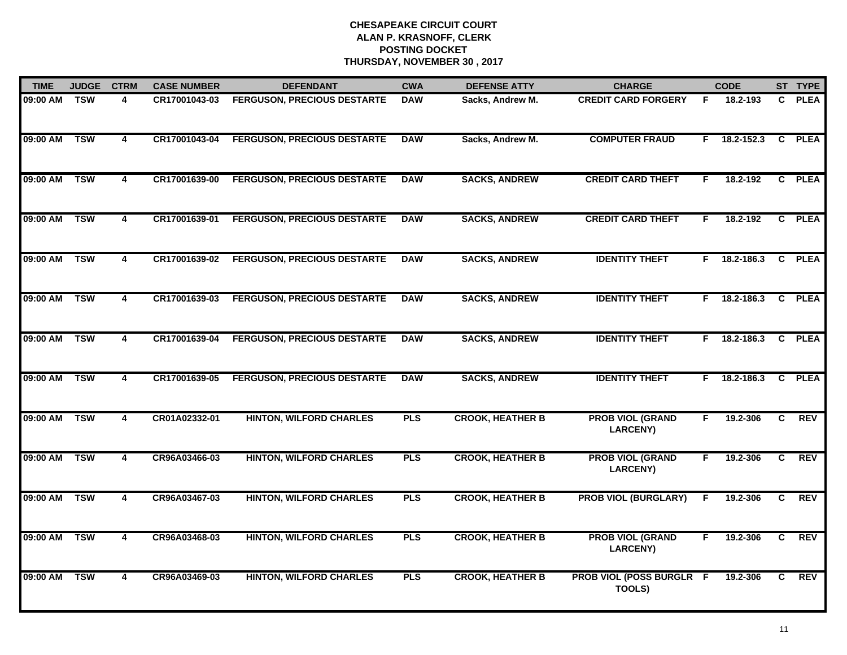| <b>TIME</b> | <b>JUDGE</b> | <b>CTRM</b>             | <b>CASE NUMBER</b> | <b>DEFENDANT</b>                   | <b>CWA</b> | <b>DEFENSE ATTY</b>     | <b>CHARGE</b>                              |    | <b>CODE</b>    |              | ST TYPE     |
|-------------|--------------|-------------------------|--------------------|------------------------------------|------------|-------------------------|--------------------------------------------|----|----------------|--------------|-------------|
| 09:00 AM    | <b>TSW</b>   | 4                       | CR17001043-03      | <b>FERGUSON, PRECIOUS DESTARTE</b> | <b>DAW</b> | Sacks, Andrew M.        | <b>CREDIT CARD FORGERY</b>                 | F  | 18.2-193       | $\mathbf{C}$ | <b>PLEA</b> |
| 09:00 AM    | <b>TSW</b>   | 4                       | CR17001043-04      | <b>FERGUSON, PRECIOUS DESTARTE</b> | <b>DAW</b> | Sacks, Andrew M.        | <b>COMPUTER FRAUD</b>                      | F. | 18.2-152.3     | C            | <b>PLEA</b> |
| 09:00 AM    | <b>TSW</b>   | $\overline{4}$          | CR17001639-00      | <b>FERGUSON, PRECIOUS DESTARTE</b> | <b>DAW</b> | <b>SACKS, ANDREW</b>    | <b>CREDIT CARD THEFT</b>                   | F  | 18.2-192       |              | C PLEA      |
| 09:00 AM    | <b>TSW</b>   | 4                       | CR17001639-01      | <b>FERGUSON, PRECIOUS DESTARTE</b> | <b>DAW</b> | <b>SACKS, ANDREW</b>    | <b>CREDIT CARD THEFT</b>                   | F  | 18.2-192       |              | C PLEA      |
| 09:00 AM    | <b>TSW</b>   | 4                       | CR17001639-02      | <b>FERGUSON, PRECIOUS DESTARTE</b> | <b>DAW</b> | <b>SACKS, ANDREW</b>    | <b>IDENTITY THEFT</b>                      |    | F 18.2-186.3   |              | C PLEA      |
| 09:00 AM    | <b>TSW</b>   | 4                       | CR17001639-03      | <b>FERGUSON, PRECIOUS DESTARTE</b> | <b>DAW</b> | <b>SACKS, ANDREW</b>    | <b>IDENTITY THEFT</b>                      |    | $F$ 18.2-186.3 |              | C PLEA      |
| 09:00 AM    | <b>TSW</b>   | $\overline{\mathbf{4}}$ | CR17001639-04      | <b>FERGUSON, PRECIOUS DESTARTE</b> | <b>DAW</b> | <b>SACKS, ANDREW</b>    | <b>IDENTITY THEFT</b>                      | F. | 18.2-186.3     | C            | <b>PLEA</b> |
| 09:00 AM    | <b>TSW</b>   | 4                       | CR17001639-05      | <b>FERGUSON, PRECIOUS DESTARTE</b> | <b>DAW</b> | <b>SACKS, ANDREW</b>    | <b>IDENTITY THEFT</b>                      | F. | 18.2-186.3     |              | C PLEA      |
| 09:00 AM    | <b>TSW</b>   | 4                       | CR01A02332-01      | <b>HINTON, WILFORD CHARLES</b>     | <b>PLS</b> | <b>CROOK, HEATHER B</b> | <b>PROB VIOL (GRAND</b><br><b>LARCENY)</b> | F  | 19.2-306       | C            | <b>REV</b>  |
| 09:00 AM    | <b>TSW</b>   | 4                       | CR96A03466-03      | <b>HINTON, WILFORD CHARLES</b>     | <b>PLS</b> | <b>CROOK, HEATHER B</b> | <b>PROB VIOL (GRAND</b><br><b>LARCENY)</b> | F  | 19.2-306       | C            | <b>REV</b>  |
| 09:00 AM    | <b>TSW</b>   | 4                       | CR96A03467-03      | <b>HINTON, WILFORD CHARLES</b>     | <b>PLS</b> | <b>CROOK, HEATHER B</b> | <b>PROB VIOL (BURGLARY)</b>                | F  | 19.2-306       | C.           | <b>REV</b>  |
| 09:00 AM    | <b>TSW</b>   | $\overline{\mathbf{4}}$ | CR96A03468-03      | <b>HINTON, WILFORD CHARLES</b>     | <b>PLS</b> | <b>CROOK, HEATHER B</b> | <b>PROB VIOL (GRAND</b><br><b>LARCENY)</b> | F. | 19.2-306       | C.           | <b>REV</b>  |
| 09:00 AM    | <b>TSW</b>   | 4                       | CR96A03469-03      | <b>HINTON, WILFORD CHARLES</b>     | <b>PLS</b> | <b>CROOK, HEATHER B</b> | <b>PROB VIOL (POSS BURGLR F</b><br>TOOLS)  |    | 19.2-306       | C.           | REV         |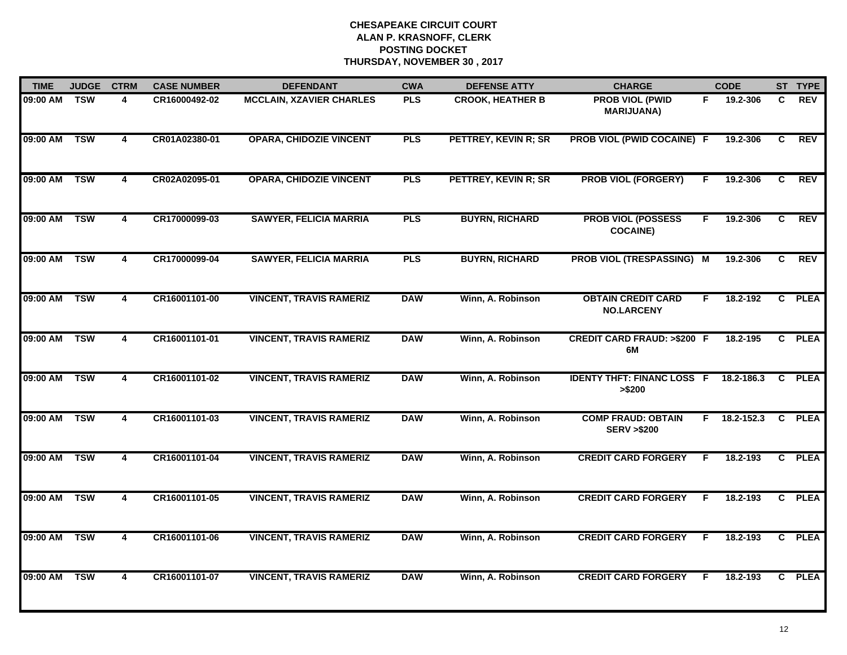| <b>TIME</b>  | <b>JUDGE</b> | <b>CTRM</b>             | <b>CASE NUMBER</b> | <b>DEFENDANT</b>                | <b>CWA</b> | <b>DEFENSE ATTY</b>     | <b>CHARGE</b>                                      | <b>CODE</b>      |                | ST TYPE     |
|--------------|--------------|-------------------------|--------------------|---------------------------------|------------|-------------------------|----------------------------------------------------|------------------|----------------|-------------|
| 09:00 AM TSW |              | 4                       | CR16000492-02      | <b>MCCLAIN, XZAVIER CHARLES</b> | <b>PLS</b> | <b>CROOK, HEATHER B</b> | <b>PROB VIOL (PWID</b><br><b>MARIJUANA)</b>        | 19.2-306<br>F.   | C.             | <b>REV</b>  |
| 09:00 AM     | <b>TSW</b>   | 4                       | CR01A02380-01      | <b>OPARA, CHIDOZIE VINCENT</b>  | <b>PLS</b> | PETTREY, KEVIN R; SR    | PROB VIOL (PWID COCAINE) F                         | 19.2-306         | C              | <b>REV</b>  |
| 09:00 AM     | <b>TSW</b>   | 4                       | CR02A02095-01      | <b>OPARA, CHIDOZIE VINCENT</b>  | <b>PLS</b> | PETTREY, KEVIN R; SR    | <b>PROB VIOL (FORGERY)</b>                         | 19.2-306<br>F    | C              | <b>REV</b>  |
| 09:00 AM     | <b>TSW</b>   | 4                       | CR17000099-03      | <b>SAWYER, FELICIA MARRIA</b>   | <b>PLS</b> | <b>BUYRN, RICHARD</b>   | <b>PROB VIOL (POSSESS</b><br><b>COCAINE)</b>       | 19.2-306<br>F.   | C              | <b>REV</b>  |
| 09:00 AM     | <b>TSW</b>   | 4                       | CR17000099-04      | <b>SAWYER, FELICIA MARRIA</b>   | <b>PLS</b> | <b>BUYRN, RICHARD</b>   | PROB VIOL (TRESPASSING) M                          | 19.2-306         | C.             | <b>REV</b>  |
| 09:00 AM     | <b>TSW</b>   | 4                       | CR16001101-00      | <b>VINCENT, TRAVIS RAMERIZ</b>  | <b>DAW</b> | Winn, A. Robinson       | <b>OBTAIN CREDIT CARD</b><br><b>NO.LARCENY</b>     | 18.2-192<br>F.   | $\mathbf{c}$   | <b>PLEA</b> |
| 09:00 AM     | <b>TSW</b>   | 4                       | CR16001101-01      | <b>VINCENT, TRAVIS RAMERIZ</b>  | <b>DAW</b> | Winn, A. Robinson       | <b>CREDIT CARD FRAUD: &gt;\$200 F</b><br>6M        | 18.2-195         | C              | <b>PLEA</b> |
| 09:00 AM     | <b>TSW</b>   | 4                       | CR16001101-02      | <b>VINCENT, TRAVIS RAMERIZ</b>  | <b>DAW</b> | Winn, A. Robinson       | <b>IDENTY THFT: FINANC LOSS F</b><br>> \$200       | 18.2-186.3       | C.             | <b>PLEA</b> |
| 09:00 AM     | <b>TSW</b>   | 4                       | CR16001101-03      | <b>VINCENT, TRAVIS RAMERIZ</b>  | <b>DAW</b> | Winn, A. Robinson       | <b>COMP FRAUD: OBTAIN</b><br><b>SERV &gt;\$200</b> | 18.2-152.3<br>F. | C.             | <b>PLEA</b> |
| 09:00 AM     | <b>TSW</b>   | 4                       | CR16001101-04      | <b>VINCENT, TRAVIS RAMERIZ</b>  | <b>DAW</b> | Winn, A. Robinson       | <b>CREDIT CARD FORGERY</b>                         | 18.2-193<br>F    | $\mathbf{c}$   | <b>PLEA</b> |
| 09:00 AM     | <b>TSW</b>   | 4                       | CR16001101-05      | <b>VINCENT, TRAVIS RAMERIZ</b>  | <b>DAW</b> | Winn, A. Robinson       | <b>CREDIT CARD FORGERY</b>                         | 18.2-193<br>F    | $\mathbf{c}$   | <b>PLEA</b> |
| 09:00 AM     | <b>TSW</b>   | $\overline{\mathbf{4}}$ | CR16001101-06      | <b>VINCENT, TRAVIS RAMERIZ</b>  | <b>DAW</b> | Winn, A. Robinson       | <b>CREDIT CARD FORGERY</b>                         | 18.2-193<br>F.   | $\overline{c}$ | <b>PLEA</b> |
| 09:00 AM     | <b>TSW</b>   | 4                       | CR16001101-07      | <b>VINCENT, TRAVIS RAMERIZ</b>  | <b>DAW</b> | Winn, A. Robinson       | <b>CREDIT CARD FORGERY</b>                         | 18.2-193<br>F    | C.             | <b>PLEA</b> |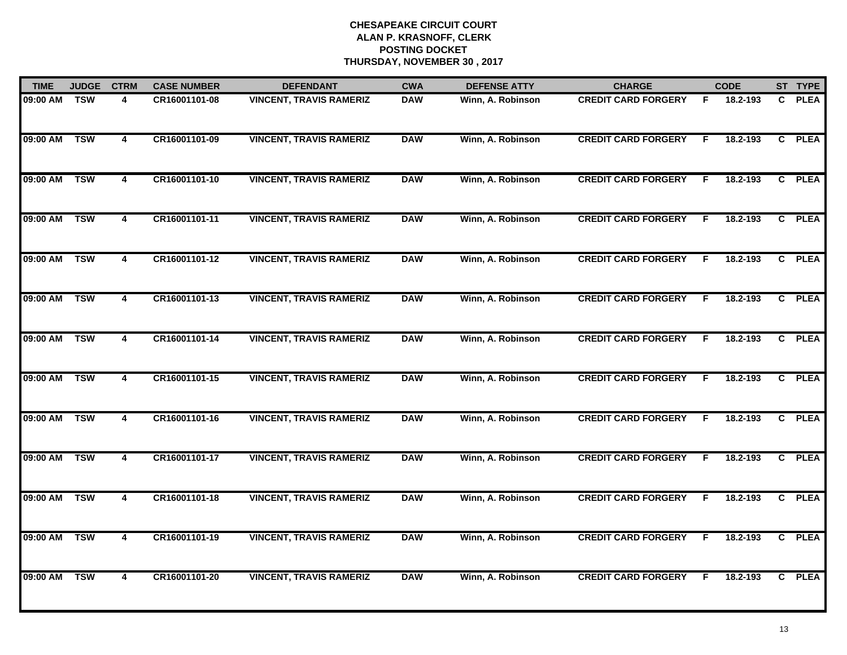| <b>TIME</b> | <b>JUDGE</b> | <b>CTRM</b>             | <b>CASE NUMBER</b> | <b>DEFENDANT</b>               | <b>CWA</b> | <b>DEFENSE ATTY</b> | <b>CHARGE</b>              |    | <b>CODE</b> |              | ST TYPE     |
|-------------|--------------|-------------------------|--------------------|--------------------------------|------------|---------------------|----------------------------|----|-------------|--------------|-------------|
| 09:00 AM    | <b>TSW</b>   | 4                       | CR16001101-08      | <b>VINCENT, TRAVIS RAMERIZ</b> | <b>DAW</b> | Winn, A. Robinson   | <b>CREDIT CARD FORGERY</b> | F  | 18.2-193    | C.           | <b>PLEA</b> |
| 09:00 AM    | <b>TSW</b>   | $\overline{4}$          | CR16001101-09      | <b>VINCENT, TRAVIS RAMERIZ</b> | <b>DAW</b> | Winn, A. Robinson   | <b>CREDIT CARD FORGERY</b> | F. | 18.2-193    |              | C PLEA      |
| 09:00 AM    | <b>TSW</b>   | $\overline{4}$          | CR16001101-10      | <b>VINCENT, TRAVIS RAMERIZ</b> | <b>DAW</b> | Winn, A. Robinson   | <b>CREDIT CARD FORGERY</b> | F  | 18.2-193    |              | C PLEA      |
| 09:00 AM    | <b>TSW</b>   | 4                       | CR16001101-11      | <b>VINCENT, TRAVIS RAMERIZ</b> | <b>DAW</b> | Winn, A. Robinson   | <b>CREDIT CARD FORGERY</b> | F  | 18.2-193    | $\mathbf{c}$ | <b>PLEA</b> |
| 09:00 AM    | <b>TSW</b>   | 4                       | CR16001101-12      | <b>VINCENT, TRAVIS RAMERIZ</b> | <b>DAW</b> | Winn, A. Robinson   | <b>CREDIT CARD FORGERY</b> | F. | 18.2-193    |              | C PLEA      |
| 09:00 AM    | <b>TSW</b>   | 4                       | CR16001101-13      | <b>VINCENT, TRAVIS RAMERIZ</b> | <b>DAW</b> | Winn, A. Robinson   | <b>CREDIT CARD FORGERY</b> | F  | 18.2-193    |              | C PLEA      |
| 09:00 AM    | <b>TSW</b>   | $\overline{\mathbf{4}}$ | CR16001101-14      | <b>VINCENT, TRAVIS RAMERIZ</b> | <b>DAW</b> | Winn, A. Robinson   | <b>CREDIT CARD FORGERY</b> | E  | 18.2-193    | C            | <b>PLEA</b> |
| 09:00 AM    | <b>TSW</b>   | 4                       | CR16001101-15      | <b>VINCENT, TRAVIS RAMERIZ</b> | <b>DAW</b> | Winn, A. Robinson   | <b>CREDIT CARD FORGERY</b> | F  | 18.2-193    |              | C PLEA      |
| 09:00 AM    | <b>TSW</b>   | 4                       | CR16001101-16      | <b>VINCENT, TRAVIS RAMERIZ</b> | <b>DAW</b> | Winn, A. Robinson   | <b>CREDIT CARD FORGERY</b> | F  | 18.2-193    | C.           | <b>PLEA</b> |
| 09:00 AM    | <b>TSW</b>   | 4                       | CR16001101-17      | <b>VINCENT, TRAVIS RAMERIZ</b> | <b>DAW</b> | Winn, A. Robinson   | <b>CREDIT CARD FORGERY</b> | F  | 18.2-193    |              | C PLEA      |
| 09:00 AM    | <b>TSW</b>   | 4                       | CR16001101-18      | <b>VINCENT, TRAVIS RAMERIZ</b> | <b>DAW</b> | Winn, A. Robinson   | <b>CREDIT CARD FORGERY</b> | F  | 18.2-193    |              | C PLEA      |
| 09:00 AM    | <b>TSW</b>   | 4                       | CR16001101-19      | <b>VINCENT, TRAVIS RAMERIZ</b> | <b>DAW</b> | Winn, A. Robinson   | <b>CREDIT CARD FORGERY</b> | F. | 18.2-193    | C            | <b>PLEA</b> |
| 09:00 AM    | <b>TSW</b>   | $\overline{\mathbf{4}}$ | CR16001101-20      | <b>VINCENT, TRAVIS RAMERIZ</b> | <b>DAW</b> | Winn, A. Robinson   | <b>CREDIT CARD FORGERY</b> | F  | 18.2-193    |              | C PLEA      |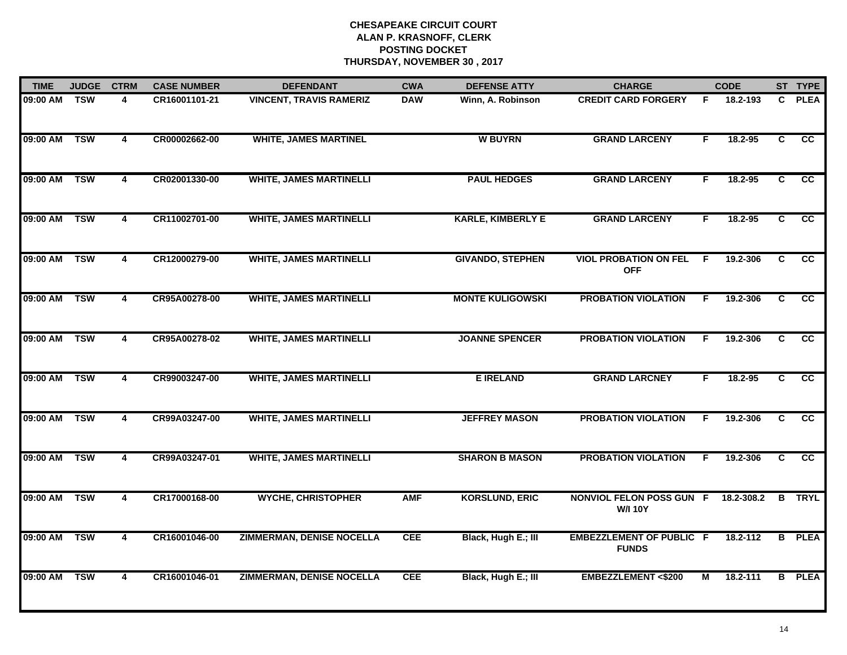| <b>TIME</b> | <b>JUDGE</b>      | <b>CTRM</b>             | <b>CASE NUMBER</b> | <b>DEFENDANT</b>                 | <b>CWA</b> | <b>DEFENSE ATTY</b>      | <b>CHARGE</b>                                     |    | <b>CODE</b>  |                | ST TYPE         |
|-------------|-------------------|-------------------------|--------------------|----------------------------------|------------|--------------------------|---------------------------------------------------|----|--------------|----------------|-----------------|
| 09:00 AM    | $\overline{T}$ SW | $\overline{\mathbf{A}}$ | CR16001101-21      | <b>VINCENT, TRAVIS RAMERIZ</b>   | <b>DAW</b> | Winn, A. Robinson        | <b>CREDIT CARD FORGERY</b>                        | F  | 18.2-193     | $\mathbf{c}$   | <b>PLEA</b>     |
| 09:00 AM    | <b>TSW</b>        | $\overline{4}$          | CR00002662-00      | <b>WHITE, JAMES MARTINEL</b>     |            | <b>W BUYRN</b>           | <b>GRAND LARCENY</b>                              | F. | 18.2-95      | $\overline{c}$ | $\overline{cc}$ |
| 09:00 AM    | <b>TSW</b>        | 4                       | CR02001330-00      | <b>WHITE, JAMES MARTINELLI</b>   |            | <b>PAUL HEDGES</b>       | <b>GRAND LARCENY</b>                              | F. | 18.2-95      | $\overline{c}$ | $\overline{cc}$ |
| 09:00 AM    | <b>TSW</b>        | 4                       | CR11002701-00      | <b>WHITE, JAMES MARTINELLI</b>   |            | <b>KARLE, KIMBERLY E</b> | <b>GRAND LARCENY</b>                              | F  | 18.2-95      | C              | cc              |
| 09:00 AM    | <b>TSW</b>        | 4                       | CR12000279-00      | <b>WHITE, JAMES MARTINELLI</b>   |            | <b>GIVANDO, STEPHEN</b>  | <b>VIOL PROBATION ON FEL</b><br><b>OFF</b>        | -F | 19.2-306     | C.             | cc              |
| 09:00 AM    | <b>TSW</b>        | 4                       | CR95A00278-00      | <b>WHITE, JAMES MARTINELLI</b>   |            | <b>MONTE KULIGOWSKI</b>  | <b>PROBATION VIOLATION</b>                        | F  | 19.2-306     | C              | $\overline{cc}$ |
| 09:00 AM    | <b>TSW</b>        | 4                       | CR95A00278-02      | <b>WHITE, JAMES MARTINELLI</b>   |            | <b>JOANNE SPENCER</b>    | <b>PROBATION VIOLATION</b>                        | F  | 19.2-306     | C              | $\overline{cc}$ |
| 09:00 AM    | <b>TSW</b>        | $\overline{4}$          | CR99003247-00      | <b>WHITE, JAMES MARTINELLI</b>   |            | <b>E IRELAND</b>         | <b>GRAND LARCNEY</b>                              | F. | 18.2-95      | $\overline{c}$ | $\overline{cc}$ |
| 09:00 AM    | <b>TSW</b>        | 4                       | CR99A03247-00      | <b>WHITE, JAMES MARTINELLI</b>   |            | <b>JEFFREY MASON</b>     | <b>PROBATION VIOLATION</b>                        | F  | 19.2-306     | C              | cc              |
| 09:00 AM    | <b>TSW</b>        | 4                       | CR99A03247-01      | <b>WHITE, JAMES MARTINELLI</b>   |            | <b>SHARON B MASON</b>    | <b>PROBATION VIOLATION</b>                        | F. | 19.2-306     | C              | <b>CC</b>       |
| 09:00 AM    | <b>TSW</b>        | $\overline{\mathbf{4}}$ | CR17000168-00      | <b>WYCHE, CHRISTOPHER</b>        | <b>AMF</b> | <b>KORSLUND, ERIC</b>    | <b>NONVIOL FELON POSS GUN F</b><br><b>W/I 10Y</b> |    | 18.2-308.2   | B              | <b>TRYL</b>     |
| 09:00 AM    | <b>TSW</b>        | $\overline{\mathbf{4}}$ | CR16001046-00      | <b>ZIMMERMAN, DENISE NOCELLA</b> | <b>CEE</b> | Black, Hugh E.; III      | <b>EMBEZZLEMENT OF PUBLIC F</b><br><b>FUNDS</b>   |    | $18.2 - 112$ | B              | <b>PLEA</b>     |
| 09:00 AM    | <b>TSW</b>        | 4                       | CR16001046-01      | <b>ZIMMERMAN, DENISE NOCELLA</b> | <b>CEE</b> | Black, Hugh E.; III      | <b>EMBEZZLEMENT &lt;\$200</b>                     | М  | 18.2-111     |                | <b>B</b> PLEA   |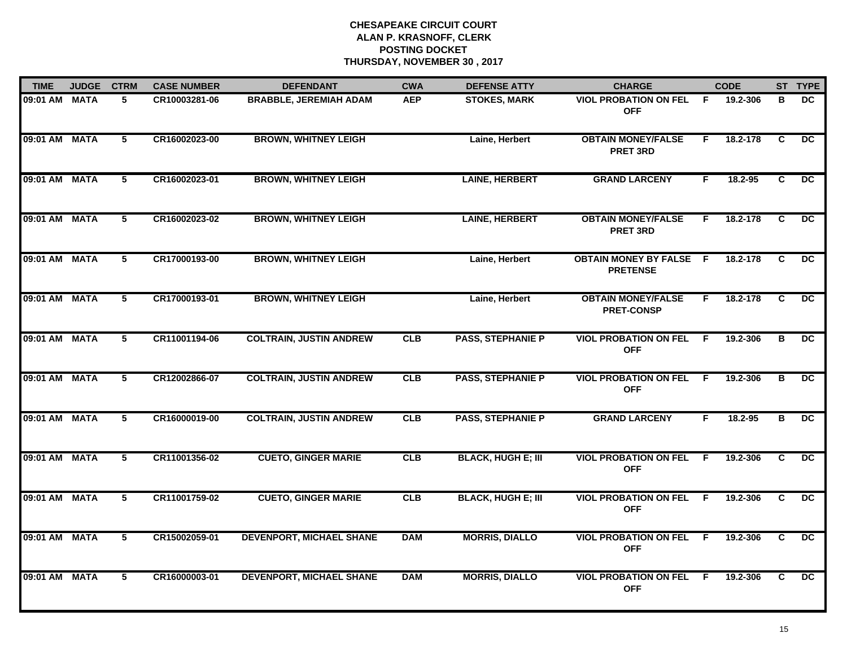| <b>TIME</b>   | <b>JUDGE</b> | <b>CTRM</b>    | <b>CASE NUMBER</b> | <b>DEFENDANT</b>                | <b>CWA</b> | <b>DEFENSE ATTY</b>       | <b>CHARGE</b>                                     |     | <b>CODE</b> |                | ST TYPE         |
|---------------|--------------|----------------|--------------------|---------------------------------|------------|---------------------------|---------------------------------------------------|-----|-------------|----------------|-----------------|
| 09:01 AM MATA |              | 5              | CR10003281-06      | <b>BRABBLE, JEREMIAH ADAM</b>   | <b>AEP</b> | <b>STOKES, MARK</b>       | <b>VIOL PROBATION ON FEL</b><br><b>OFF</b>        | - F | 19.2-306    | в              | DC.             |
| 09:01 AM MATA |              | 5              | CR16002023-00      | <b>BROWN, WHITNEY LEIGH</b>     |            | Laine, Herbert            | <b>OBTAIN MONEY/FALSE</b><br><b>PRET 3RD</b>      | F.  | 18.2-178    | C              | $\overline{DC}$ |
| 09:01 AM MATA |              | $\overline{5}$ | CR16002023-01      | <b>BROWN, WHITNEY LEIGH</b>     |            | <b>LAINE, HERBERT</b>     | <b>GRAND LARCENY</b>                              | F.  | 18.2-95     | $\overline{c}$ | $\overline{DC}$ |
| 09:01 AM MATA |              | 5              | CR16002023-02      | <b>BROWN, WHITNEY LEIGH</b>     |            | <b>LAINE, HERBERT</b>     | <b>OBTAIN MONEY/FALSE</b><br><b>PRET 3RD</b>      | F.  | 18.2-178    | C              | <b>DC</b>       |
| 09:01 AM MATA |              | 5              | CR17000193-00      | <b>BROWN, WHITNEY LEIGH</b>     |            | Laine, Herbert            | <b>OBTAIN MONEY BY FALSE F</b><br><b>PRETENSE</b> |     | 18.2-178    | C              | <b>DC</b>       |
| 09:01 AM MATA |              | 5              | CR17000193-01      | <b>BROWN, WHITNEY LEIGH</b>     |            | Laine, Herbert            | <b>OBTAIN MONEY/FALSE</b><br><b>PRET-CONSP</b>    | F.  | 18.2-178    | C              | DC.             |
| 09:01 AM MATA |              | 5              | CR11001194-06      | <b>COLTRAIN, JUSTIN ANDREW</b>  | CLB        | <b>PASS, STEPHANIE P</b>  | <b>VIOL PROBATION ON FEL</b><br><b>OFF</b>        | - F | 19.2-306    | B              | DC.             |
| 09:01 AM MATA |              | $\overline{5}$ | CR12002866-07      | <b>COLTRAIN, JUSTIN ANDREW</b>  | CLB        | <b>PASS, STEPHANIE P</b>  | <b>VIOL PROBATION ON FEL</b><br><b>OFF</b>        | - F | 19.2-306    | B              | $\overline{DC}$ |
| 09:01 AM MATA |              | 5              | CR16000019-00      | <b>COLTRAIN, JUSTIN ANDREW</b>  | CLB        | <b>PASS, STEPHANIE P</b>  | <b>GRAND LARCENY</b>                              | F   | $18.2 - 95$ | В              | <b>DC</b>       |
| 09:01 AM MATA |              | 5              | CR11001356-02      | <b>CUETO, GINGER MARIE</b>      | CLB        | <b>BLACK, HUGH E; III</b> | <b>VIOL PROBATION ON FEL</b><br><b>OFF</b>        | E   | 19.2-306    | C              | <b>DC</b>       |
| 09:01 AM MATA |              | 5              | CR11001759-02      | <b>CUETO, GINGER MARIE</b>      | CLB        | <b>BLACK, HUGH E; III</b> | <b>VIOL PROBATION ON FEL F</b><br><b>OFF</b>      |     | 19.2-306    | C              | DC.             |
| 09:01 AM MATA |              | 5              | CR15002059-01      | <b>DEVENPORT, MICHAEL SHANE</b> | <b>DAM</b> | <b>MORRIS, DIALLO</b>     | <b>VIOL PROBATION ON FEL</b><br><b>OFF</b>        | F.  | 19.2-306    | C              | $\overline{DC}$ |
| 09:01 AM MATA |              | 5              | CR16000003-01      | <b>DEVENPORT, MICHAEL SHANE</b> | <b>DAM</b> | <b>MORRIS, DIALLO</b>     | <b>VIOL PROBATION ON FEL</b><br><b>OFF</b>        | -F  | 19.2-306    | C.             | $\overline{DC}$ |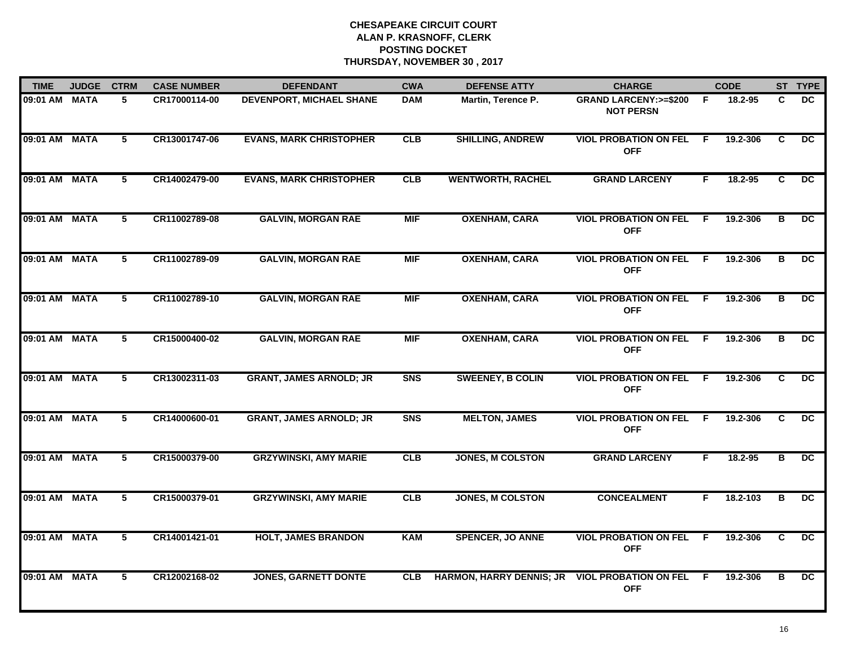| <b>TIME</b>   | <b>JUDGE</b> | <b>CTRM</b>    | <b>CASE NUMBER</b> | <b>DEFENDANT</b>                | <b>CWA</b>     | <b>DEFENSE ATTY</b>             | <b>CHARGE</b>                                        |     | <b>CODE</b> |                | ST TYPE         |
|---------------|--------------|----------------|--------------------|---------------------------------|----------------|---------------------------------|------------------------------------------------------|-----|-------------|----------------|-----------------|
| 09:01 AM MATA |              | 5              | CR17000114-00      | <b>DEVENPORT, MICHAEL SHANE</b> | <b>DAM</b>     | Martin, Terence P.              | <b>GRAND LARCENY: &gt;=\$200</b><br><b>NOT PERSN</b> | -F  | 18.2-95     | C.             | DC.             |
| 09:01 AM MATA |              | 5              | CR13001747-06      | <b>EVANS, MARK CHRISTOPHER</b>  | CLB            | <b>SHILLING, ANDREW</b>         | <b>VIOL PROBATION ON FEL</b><br><b>OFF</b>           | E   | 19.2-306    | C.             | DC              |
| 09:01 AM MATA |              | $\overline{5}$ | CR14002479-00      | <b>EVANS, MARK CHRISTOPHER</b>  | CLB            | <b>WENTWORTH, RACHEL</b>        | <b>GRAND LARCENY</b>                                 | F.  | 18.2-95     | $\overline{c}$ | DC              |
| 09:01 AM MATA |              | 5              | CR11002789-08      | <b>GALVIN, MORGAN RAE</b>       | <b>MIF</b>     | <b>OXENHAM, CARA</b>            | <b>VIOL PROBATION ON FEL</b><br><b>OFF</b>           | F.  | 19.2-306    | в              | <b>DC</b>       |
| 09:01 AM MATA |              | 5              | CR11002789-09      | <b>GALVIN, MORGAN RAE</b>       | <b>MIF</b>     | <b>OXENHAM, CARA</b>            | <b>VIOL PROBATION ON FEL</b><br><b>OFF</b>           | F.  | 19.2-306    | в              | <b>DC</b>       |
| 09:01 AM MATA |              | 5              | CR11002789-10      | <b>GALVIN, MORGAN RAE</b>       | <b>MIF</b>     | <b>OXENHAM, CARA</b>            | <b>VIOL PROBATION ON FEL</b><br><b>OFF</b>           | -F  | 19.2-306    | в              | DC              |
| 09:01 AM MATA |              | 5              | CR15000400-02      | <b>GALVIN, MORGAN RAE</b>       | <b>MIF</b>     | <b>OXENHAM, CARA</b>            | <b>VIOL PROBATION ON FEL</b><br><b>OFF</b>           | - F | 19.2-306    | B              | DC.             |
| 09:01 AM MATA |              | $\overline{5}$ | CR13002311-03      | <b>GRANT, JAMES ARNOLD; JR</b>  | S <sub>N</sub> | <b>SWEENEY, B COLIN</b>         | <b>VIOL PROBATION ON FEL</b><br><b>OFF</b>           | E   | 19.2-306    | C.             | $\overline{DC}$ |
| 09:01 AM MATA |              | 5              | CR14000600-01      | <b>GRANT, JAMES ARNOLD; JR</b>  | S <sub>N</sub> | <b>MELTON, JAMES</b>            | <b>VIOL PROBATION ON FEL</b><br><b>OFF</b>           | E   | 19.2-306    | C.             | <b>DC</b>       |
| 09:01 AM MATA |              | 5              | CR15000379-00      | <b>GRZYWINSKI, AMY MARIE</b>    | CLB            | <b>JONES, M COLSTON</b>         | <b>GRAND LARCENY</b>                                 | F   | $18.2 - 95$ | в              | <b>DC</b>       |
| 09:01 AM MATA |              | 5              | CR15000379-01      | <b>GRZYWINSKI, AMY MARIE</b>    | <b>CLB</b>     | <b>JONES, M COLSTON</b>         | <b>CONCEALMENT</b>                                   | F.  | 18.2-103    | в              | DC.             |
| 09:01 AM MATA |              | 5              | CR14001421-01      | <b>HOLT, JAMES BRANDON</b>      | <b>KAM</b>     | <b>SPENCER, JO ANNE</b>         | <b>VIOL PROBATION ON FEL</b><br><b>OFF</b>           | F.  | 19.2-306    | C.             | $\overline{DC}$ |
| 09:01 AM MATA |              | $\overline{5}$ | CR12002168-02      | <b>JONES, GARNETT DONTE</b>     | <b>CLB</b>     | <b>HARMON, HARRY DENNIS; JR</b> | <b>VIOL PROBATION ON FEL</b><br><b>OFF</b>           | F.  | 19.2-306    | в              | $\overline{DC}$ |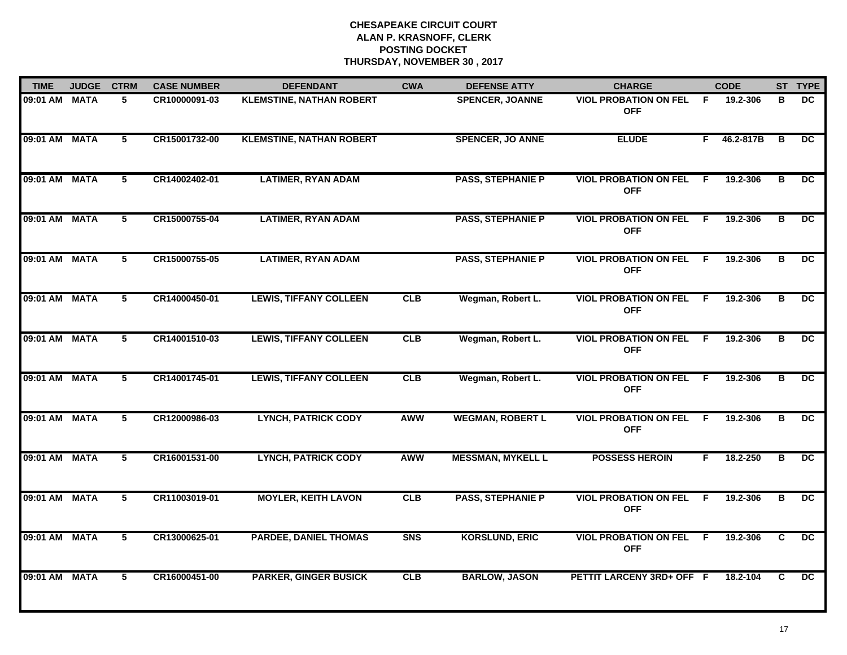| <b>TIME</b>   | <b>JUDGE</b> | <b>CTRM</b>     | <b>CASE NUMBER</b> | <b>DEFENDANT</b>                | <b>CWA</b> | <b>DEFENSE ATTY</b>      | <b>CHARGE</b>                                |                | <b>CODE</b> |                         | ST TYPE         |
|---------------|--------------|-----------------|--------------------|---------------------------------|------------|--------------------------|----------------------------------------------|----------------|-------------|-------------------------|-----------------|
| 09:01 AM MATA |              | 5               | CR10000091-03      | <b>KLEMSTINE, NATHAN ROBERT</b> |            | <b>SPENCER, JOANNE</b>   | <b>VIOL PROBATION ON FEL</b><br><b>OFF</b>   | -F.            | 19.2-306    | в                       | DC.             |
| 09:01 AM MATA |              | $5\phantom{.0}$ | CR15001732-00      | <b>KLEMSTINE, NATHAN ROBERT</b> |            | <b>SPENCER, JO ANNE</b>  | <b>ELUDE</b>                                 |                | F 46.2-817B | B                       | DC.             |
| 09:01 AM MATA |              | 5               | CR14002402-01      | <b>LATIMER, RYAN ADAM</b>       |            | <b>PASS, STEPHANIE P</b> | <b>VIOL PROBATION ON FEL</b><br><b>OFF</b>   | -F             | 19.2-306    | B                       | DC              |
| 09:01 AM MATA |              | 5               | CR15000755-04      | <b>LATIMER, RYAN ADAM</b>       |            | <b>PASS, STEPHANIE P</b> | <b>VIOL PROBATION ON FEL</b><br><b>OFF</b>   | -F.            | 19.2-306    | в                       | <b>DC</b>       |
| 09:01 AM MATA |              | 5               | CR15000755-05      | <b>LATIMER, RYAN ADAM</b>       |            | <b>PASS, STEPHANIE P</b> | <b>VIOL PROBATION ON FEL</b><br><b>OFF</b>   | F.             | 19.2-306    | в                       | DC              |
| 09:01 AM MATA |              | 5               | CR14000450-01      | <b>LEWIS, TIFFANY COLLEEN</b>   | CLB        | Wegman, Robert L.        | <b>VIOL PROBATION ON FEL F</b><br><b>OFF</b> |                | 19.2-306    | в                       | DC.             |
| 09:01 AM MATA |              | $\overline{5}$  | CR14001510-03      | <b>LEWIS, TIFFANY COLLEEN</b>   | CLB        | Wegman, Robert L.        | <b>VIOL PROBATION ON FEL</b><br><b>OFF</b>   | $\overline{F}$ | 19.2-306    | $\overline{\mathbf{B}}$ | $\overline{DC}$ |
| 09:01 AM MATA |              | 5               | CR14001745-01      | <b>LEWIS, TIFFANY COLLEEN</b>   | CLB        | Wegman, Robert L.        | <b>VIOL PROBATION ON FEL</b><br><b>OFF</b>   | -F.            | 19.2-306    | В                       | $\overline{DC}$ |
| 09:01 AM MATA |              | 5               | CR12000986-03      | <b>LYNCH, PATRICK CODY</b>      | <b>AWW</b> | <b>WEGMAN, ROBERT L</b>  | <b>VIOL PROBATION ON FEL</b><br><b>OFF</b>   | -F             | 19.2-306    | в                       | DC.             |
| 09:01 AM MATA |              | 5               | CR16001531-00      | <b>LYNCH, PATRICK CODY</b>      | <b>AWW</b> | <b>MESSMAN, MYKELL L</b> | <b>POSSESS HEROIN</b>                        | F.             | 18.2-250    | B                       | DC              |
| 09:01 AM MATA |              | 5               | CR11003019-01      | <b>MOYLER, KEITH LAVON</b>      | CLB        | <b>PASS, STEPHANIE P</b> | <b>VIOL PROBATION ON FEL</b><br><b>OFF</b>   | F.             | 19.2-306    | В                       | $\overline{DC}$ |
| 09:01 AM MATA |              | $\overline{5}$  | CR13000625-01      | <b>PARDEE, DANIEL THOMAS</b>    | <b>SNS</b> | <b>KORSLUND, ERIC</b>    | <b>VIOL PROBATION ON FEL</b><br><b>OFF</b>   | F.             | 19.2-306    | $\overline{c}$          | $\overline{DC}$ |
| 09:01 AM MATA |              | 5               | CR16000451-00      | <b>PARKER, GINGER BUSICK</b>    | CLB        | <b>BARLOW, JASON</b>     | PETTIT LARCENY 3RD+ OFF F                    |                | 18.2-104    | C                       | DC.             |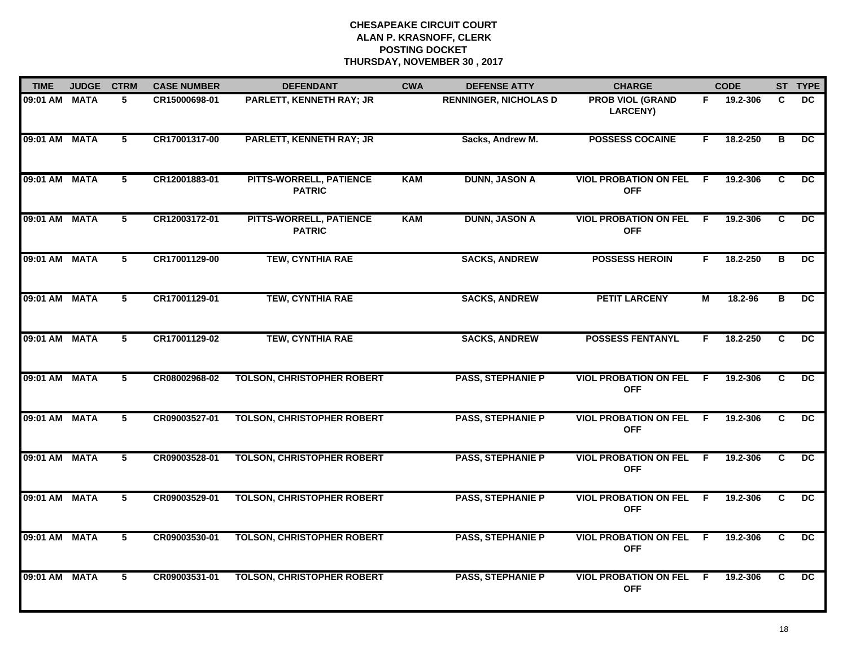| <b>TIME</b>   | <b>JUDGE</b> | <b>CTRM</b>    | <b>CASE NUMBER</b> | <b>DEFENDANT</b>                         | <b>CWA</b> | <b>DEFENSE ATTY</b>          | <b>CHARGE</b>                              |                | <b>CODE</b> |                | ST TYPE         |
|---------------|--------------|----------------|--------------------|------------------------------------------|------------|------------------------------|--------------------------------------------|----------------|-------------|----------------|-----------------|
| 09:01 AM MATA |              | 5              | CR15000698-01      | <b>PARLETT, KENNETH RAY; JR</b>          |            | <b>RENNINGER, NICHOLAS D</b> | <b>PROB VIOL (GRAND</b><br><b>LARCENY)</b> | F.             | 19.2-306    | C              | DC.             |
| 09:01 AM MATA |              | 5              | CR17001317-00      | <b>PARLETT, KENNETH RAY; JR</b>          |            | Sacks, Andrew M.             | <b>POSSESS COCAINE</b>                     | F              | 18.2-250    | B              | <b>DC</b>       |
| 09:01 AM MATA |              | $5^{\circ}$    | CR12001883-01      | PITTS-WORRELL, PATIENCE<br><b>PATRIC</b> | <b>KAM</b> | <b>DUNN, JASON A</b>         | <b>VIOL PROBATION ON FEL</b><br><b>OFF</b> | E              | 19.2-306    | C              | $\overline{DC}$ |
| 09:01 AM MATA |              | 5              | CR12003172-01      | PITTS-WORRELL, PATIENCE<br><b>PATRIC</b> | <b>KAM</b> | <b>DUNN, JASON A</b>         | <b>VIOL PROBATION ON FEL</b><br><b>OFF</b> | -F             | 19.2-306    | C              | DC.             |
| 09:01 AM MATA |              | 5              | CR17001129-00      | <b>TEW, CYNTHIA RAE</b>                  |            | <b>SACKS, ANDREW</b>         | <b>POSSESS HEROIN</b>                      | F.             | 18.2-250    | B              | DC.             |
| 09:01 AM MATA |              | 5              | CR17001129-01      | <b>TEW, CYNTHIA RAE</b>                  |            | <b>SACKS, ANDREW</b>         | <b>PETIT LARCENY</b>                       | $\overline{M}$ | 18.2-96     | в              | $\overline{DC}$ |
| 09:01 AM MATA |              | $\overline{5}$ | CR17001129-02      | <b>TEW, CYNTHIA RAE</b>                  |            | <b>SACKS, ANDREW</b>         | <b>POSSESS FENTANYL</b>                    | F.             | 18.2-250    | $\overline{c}$ | $\overline{DC}$ |
| 09:01 AM MATA |              | $\overline{5}$ | CR08002968-02      | <b>TOLSON, CHRISTOPHER ROBERT</b>        |            | <b>PASS, STEPHANIE P</b>     | <b>VIOL PROBATION ON FEL</b><br><b>OFF</b> | -F             | 19.2-306    | C              | $\overline{DC}$ |
| 09:01 AM MATA |              | 5              | CR09003527-01      | <b>TOLSON, CHRISTOPHER ROBERT</b>        |            | <b>PASS, STEPHANIE P</b>     | <b>VIOL PROBATION ON FEL</b><br><b>OFF</b> | - F            | 19.2-306    | C              | <b>DC</b>       |
| 09:01 AM MATA |              | 5              | CR09003528-01      | <b>TOLSON, CHRISTOPHER ROBERT</b>        |            | <b>PASS, STEPHANIE P</b>     | <b>VIOL PROBATION ON FEL</b><br><b>OFF</b> | -F             | 19.2-306    | $\mathbf{C}$   | <b>DC</b>       |
| 09:01 AM MATA |              | 5              | CR09003529-01      | <b>TOLSON, CHRISTOPHER ROBERT</b>        |            | <b>PASS, STEPHANIE P</b>     | <b>VIOL PROBATION ON FEL</b><br><b>OFF</b> | -F             | 19.2-306    | C              | $\overline{DC}$ |
| 09:01 AM MATA |              | $\overline{5}$ | CR09003530-01      | <b>TOLSON, CHRISTOPHER ROBERT</b>        |            | <b>PASS, STEPHANIE P</b>     | <b>VIOL PROBATION ON FEL</b><br><b>OFF</b> | $\overline{F}$ | 19.2-306    | $\overline{c}$ | $\overline{DC}$ |
| 09:01 AM MATA |              | 5              | CR09003531-01      | <b>TOLSON, CHRISTOPHER ROBERT</b>        |            | <b>PASS, STEPHANIE P</b>     | <b>VIOL PROBATION ON FEL</b><br><b>OFF</b> | -F             | 19.2-306    | C              | $\overline{DC}$ |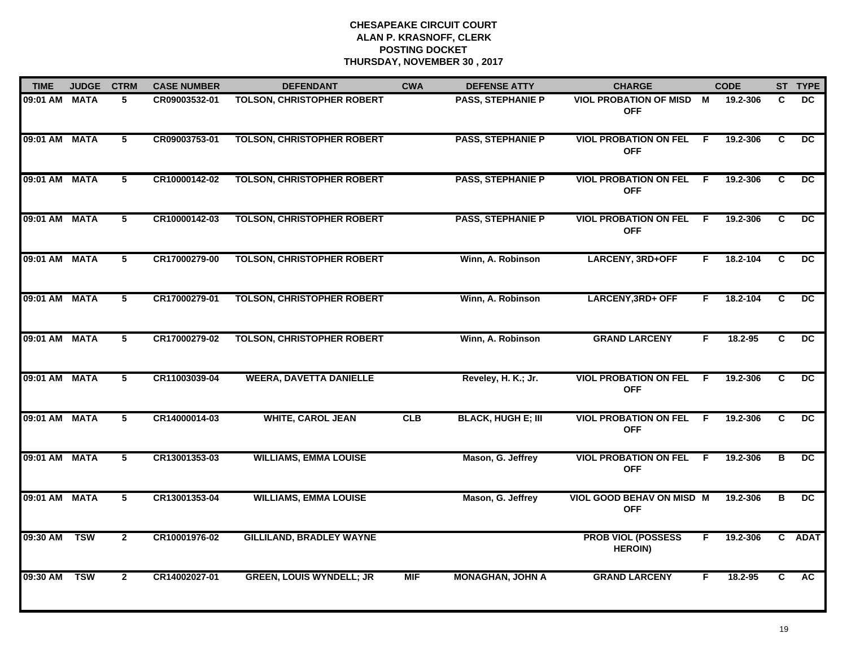| <b>TIME</b>   | <b>JUDGE</b> | <b>CTRM</b>    | <b>CASE NUMBER</b> | <b>DEFENDANT</b>                  | <b>CWA</b> | <b>DEFENSE ATTY</b>       | <b>CHARGE</b>                                 |     | <b>CODE</b> |    | ST TYPE         |
|---------------|--------------|----------------|--------------------|-----------------------------------|------------|---------------------------|-----------------------------------------------|-----|-------------|----|-----------------|
| 09:01 AM MATA |              | 5              | CR09003532-01      | <b>TOLSON, CHRISTOPHER ROBERT</b> |            | <b>PASS, STEPHANIE P</b>  | <b>VIOL PROBATION OF MISD M</b><br><b>OFF</b> |     | 19.2-306    | C  | DC.             |
| 09:01 AM MATA |              | 5              | CR09003753-01      | <b>TOLSON, CHRISTOPHER ROBERT</b> |            | <b>PASS, STEPHANIE P</b>  | <b>VIOL PROBATION ON FEL</b><br><b>OFF</b>    | - F | 19.2-306    | C  | $\overline{DC}$ |
| 09:01 AM MATA |              | $\overline{5}$ | CR10000142-02      | <b>TOLSON, CHRISTOPHER ROBERT</b> |            | <b>PASS, STEPHANIE P</b>  | <b>VIOL PROBATION ON FEL</b><br><b>OFF</b>    | F.  | 19.2-306    | C  | $\overline{DC}$ |
| 09:01 AM MATA |              | 5              | CR10000142-03      | <b>TOLSON, CHRISTOPHER ROBERT</b> |            | <b>PASS, STEPHANIE P</b>  | <b>VIOL PROBATION ON FEL</b><br><b>OFF</b>    | F.  | 19.2-306    | C  | <b>DC</b>       |
| 09:01 AM MATA |              | 5              | CR17000279-00      | <b>TOLSON, CHRISTOPHER ROBERT</b> |            | Winn, A. Robinson         | <b>LARCENY, 3RD+OFF</b>                       | F.  | 18.2-104    | C  | <b>DC</b>       |
| 09:01 AM MATA |              | 5              | CR17000279-01      | <b>TOLSON, CHRISTOPHER ROBERT</b> |            | Winn, A. Robinson         | <b>LARCENY, 3RD+ OFF</b>                      | F   | 18.2-104    | C  | DC              |
| 09:01 AM MATA |              | 5              | CR17000279-02      | <b>TOLSON, CHRISTOPHER ROBERT</b> |            | Winn, A. Robinson         | <b>GRAND LARCENY</b>                          | F   | 18.2-95     | C  | DC.             |
| 09:01 AM MATA |              | $\overline{5}$ | CR11003039-04      | <b>WEERA, DAVETTA DANIELLE</b>    |            | Reveley, H. K.; Jr.       | <b>VIOL PROBATION ON FEL</b><br><b>OFF</b>    | -F  | 19.2-306    | C  | $\overline{DC}$ |
| 09:01 AM MATA |              | 5              | CR14000014-03      | <b>WHITE, CAROL JEAN</b>          | CLB        | <b>BLACK, HUGH E; III</b> | <b>VIOL PROBATION ON FEL</b><br><b>OFF</b>    | F.  | 19.2-306    | C  | <b>DC</b>       |
| 09:01 AM MATA |              | 5              | CR13001353-03      | <b>WILLIAMS, EMMA LOUISE</b>      |            | Mason, G. Jeffrey         | <b>VIOL PROBATION ON FEL</b><br><b>OFF</b>    | E   | 19.2-306    | В  | <b>DC</b>       |
| 09:01 AM MATA |              | 5              | CR13001353-04      | <b>WILLIAMS, EMMA LOUISE</b>      |            | Mason, G. Jeffrey         | VIOL GOOD BEHAV ON MISD M<br><b>OFF</b>       |     | 19.2-306    | в  | DC              |
| 09:30 AM      | <b>TSW</b>   | $\overline{2}$ | CR10001976-02      | <b>GILLILAND, BRADLEY WAYNE</b>   |            |                           | <b>PROB VIOL (POSSESS</b><br><b>HEROIN)</b>   | F.  | 19.2-306    | C. | <b>ADAT</b>     |
| 09:30 AM      | <b>TSW</b>   | $\mathbf{2}$   | CR14002027-01      | <b>GREEN, LOUIS WYNDELL; JR</b>   | <b>MIF</b> | <b>MONAGHAN, JOHN A</b>   | <b>GRAND LARCENY</b>                          | F   | $18.2 - 95$ | C. | AC              |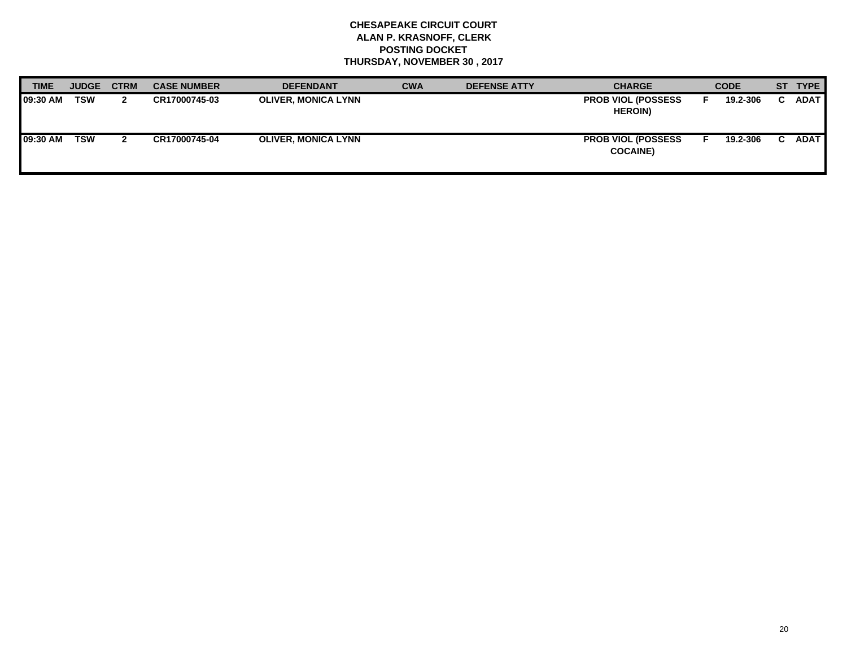| <b>TIME</b>      | <b>JUDGE</b> | <b>CTRM</b> | <b>CASE NUMBER</b> | <b>DEFENDANT</b>           | <b>CWA</b> | <b>DEFENSE ATTY</b> | <b>CHARGE</b>                                 | <b>CODE</b> | ST TYPE     |
|------------------|--------------|-------------|--------------------|----------------------------|------------|---------------------|-----------------------------------------------|-------------|-------------|
| <b>109:30 AM</b> | <b>TSW</b>   |             | CR17000745-03      | <b>OLIVER, MONICA LYNN</b> |            |                     | <b>PROB VIOL (POSSESS)</b><br><b>HEROIN)</b>  | 19.2-306    | <b>ADAT</b> |
| <b>09:30 AM</b>  | <b>TSW</b>   |             | CR17000745-04      | <b>OLIVER, MONICA LYNN</b> |            |                     | <b>PROB VIOL (POSSESS)</b><br><b>COCAINE)</b> | 19.2-306    | <b>ADAT</b> |